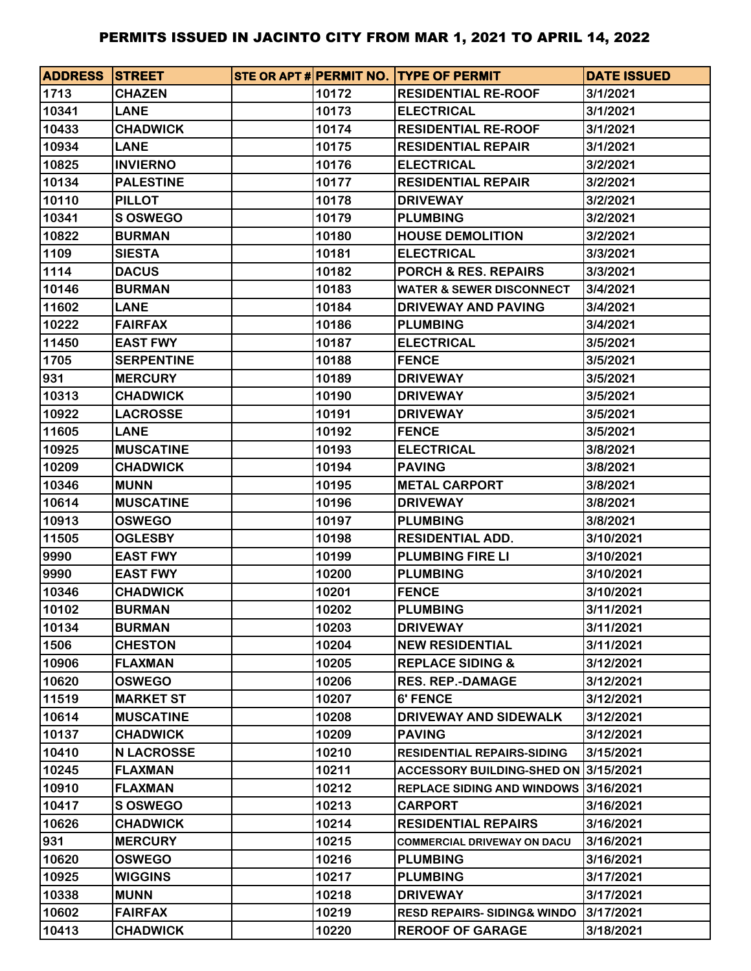| <b>ADDRESS STREET</b> |                   |       | STE OR APT # PERMIT NO. TYPE OF PERMIT | <b>DATE ISSUED</b> |
|-----------------------|-------------------|-------|----------------------------------------|--------------------|
| 1713                  | <b>CHAZEN</b>     | 10172 | <b>RESIDENTIAL RE-ROOF</b>             | 3/1/2021           |
| 10341                 | <b>LANE</b>       | 10173 | <b>ELECTRICAL</b>                      | 3/1/2021           |
| 10433                 | <b>CHADWICK</b>   | 10174 | <b>RESIDENTIAL RE-ROOF</b>             | 3/1/2021           |
| 10934                 | <b>LANE</b>       | 10175 | <b>RESIDENTIAL REPAIR</b>              | 3/1/2021           |
| 10825                 | <b>INVIERNO</b>   | 10176 | <b>ELECTRICAL</b>                      | 3/2/2021           |
| 10134                 | <b>PALESTINE</b>  | 10177 | <b>RESIDENTIAL REPAIR</b>              | 3/2/2021           |
| 10110                 | <b>PILLOT</b>     | 10178 | <b>DRIVEWAY</b>                        | 3/2/2021           |
| 10341                 | <b>S OSWEGO</b>   | 10179 | <b>PLUMBING</b>                        | 3/2/2021           |
| 10822                 | <b>BURMAN</b>     | 10180 | <b>HOUSE DEMOLITION</b>                | 3/2/2021           |
| 1109                  | <b>SIESTA</b>     | 10181 | <b>ELECTRICAL</b>                      | 3/3/2021           |
| 1114                  | <b>DACUS</b>      | 10182 | <b>PORCH &amp; RES. REPAIRS</b>        | 3/3/2021           |
| 10146                 | <b>BURMAN</b>     | 10183 | <b>WATER &amp; SEWER DISCONNECT</b>    | 3/4/2021           |
| 11602                 | <b>LANE</b>       | 10184 | <b>DRIVEWAY AND PAVING</b>             | 3/4/2021           |
| 10222                 | <b>FAIRFAX</b>    | 10186 | <b>PLUMBING</b>                        | 3/4/2021           |
| 11450                 | <b>EAST FWY</b>   | 10187 | <b>ELECTRICAL</b>                      | 3/5/2021           |
| 1705                  | <b>SERPENTINE</b> | 10188 | <b>FENCE</b>                           | 3/5/2021           |
| 931                   | <b>MERCURY</b>    | 10189 | <b>DRIVEWAY</b>                        | 3/5/2021           |
| 10313                 | <b>CHADWICK</b>   | 10190 | <b>DRIVEWAY</b>                        | 3/5/2021           |
| 10922                 | <b>LACROSSE</b>   | 10191 | <b>DRIVEWAY</b>                        | 3/5/2021           |
| 11605                 | <b>LANE</b>       | 10192 | <b>FENCE</b>                           | 3/5/2021           |
| 10925                 | <b>MUSCATINE</b>  | 10193 | <b>ELECTRICAL</b>                      | 3/8/2021           |
| 10209                 | <b>CHADWICK</b>   | 10194 | <b>PAVING</b>                          | 3/8/2021           |
| 10346                 | <b>MUNN</b>       | 10195 | <b>METAL CARPORT</b>                   | 3/8/2021           |
| 10614                 | <b>MUSCATINE</b>  | 10196 | <b>DRIVEWAY</b>                        | 3/8/2021           |
| 10913                 | <b>OSWEGO</b>     | 10197 | <b>PLUMBING</b>                        | 3/8/2021           |
| 11505                 | <b>OGLESBY</b>    | 10198 | <b>RESIDENTIAL ADD.</b>                | 3/10/2021          |
| 9990                  | <b>EAST FWY</b>   | 10199 | <b>PLUMBING FIRE LI</b>                | 3/10/2021          |
| 9990                  | <b>EAST FWY</b>   | 10200 | <b>PLUMBING</b>                        | 3/10/2021          |
| 10346                 | <b>CHADWICK</b>   | 10201 | <b>FENCE</b>                           | 3/10/2021          |
| 10102                 | <b>BURMAN</b>     | 10202 | <b>PLUMBING</b>                        | 3/11/2021          |
| 10134                 | <b>BURMAN</b>     | 10203 | <b>DRIVEWAY</b>                        | 3/11/2021          |
| 1506                  | <b>CHESTON</b>    | 10204 | <b>NEW RESIDENTIAL</b>                 | 3/11/2021          |
| 10906                 | <b>FLAXMAN</b>    | 10205 | <b>REPLACE SIDING &amp;</b>            | 3/12/2021          |
| 10620                 | <b>OSWEGO</b>     | 10206 | <b>RES. REP.-DAMAGE</b>                | 3/12/2021          |
| 11519                 | <b>MARKET ST</b>  | 10207 | <b>6' FENCE</b>                        | 3/12/2021          |
| 10614                 | <b>MUSCATINE</b>  | 10208 | DRIVEWAY AND SIDEWALK                  | 3/12/2021          |
| 10137                 | <b>CHADWICK</b>   | 10209 | <b>PAVING</b>                          | 3/12/2021          |
| 10410                 | <b>N LACROSSE</b> | 10210 | <b>RESIDENTIAL REPAIRS-SIDING</b>      | 3/15/2021          |
| 10245                 | <b>FLAXMAN</b>    | 10211 | ACCESSORY BUILDING-SHED ON 3/15/2021   |                    |
| 10910                 | <b>FLAXMAN</b>    | 10212 | REPLACE SIDING AND WINDOWS 3/16/2021   |                    |
| 10417                 | S OSWEGO          | 10213 | <b>CARPORT</b>                         | 3/16/2021          |
| 10626                 | <b>CHADWICK</b>   | 10214 | <b>RESIDENTIAL REPAIRS</b>             | 3/16/2021          |
| 931                   | <b>MERCURY</b>    | 10215 | <b>COMMERCIAL DRIVEWAY ON DACU</b>     | 3/16/2021          |
| 10620                 | <b>OSWEGO</b>     | 10216 | <b>PLUMBING</b>                        | 3/16/2021          |
| 10925                 | <b>WIGGINS</b>    | 10217 | <b>PLUMBING</b>                        | 3/17/2021          |
| 10338                 | <b>MUNN</b>       | 10218 | <b>DRIVEWAY</b>                        | 3/17/2021          |
| 10602                 | <b>FAIRFAX</b>    | 10219 | <b>RESD REPAIRS-SIDING&amp; WINDO</b>  | 3/17/2021          |
| 10413                 | <b>CHADWICK</b>   | 10220 | <b>REROOF OF GARAGE</b>                | 3/18/2021          |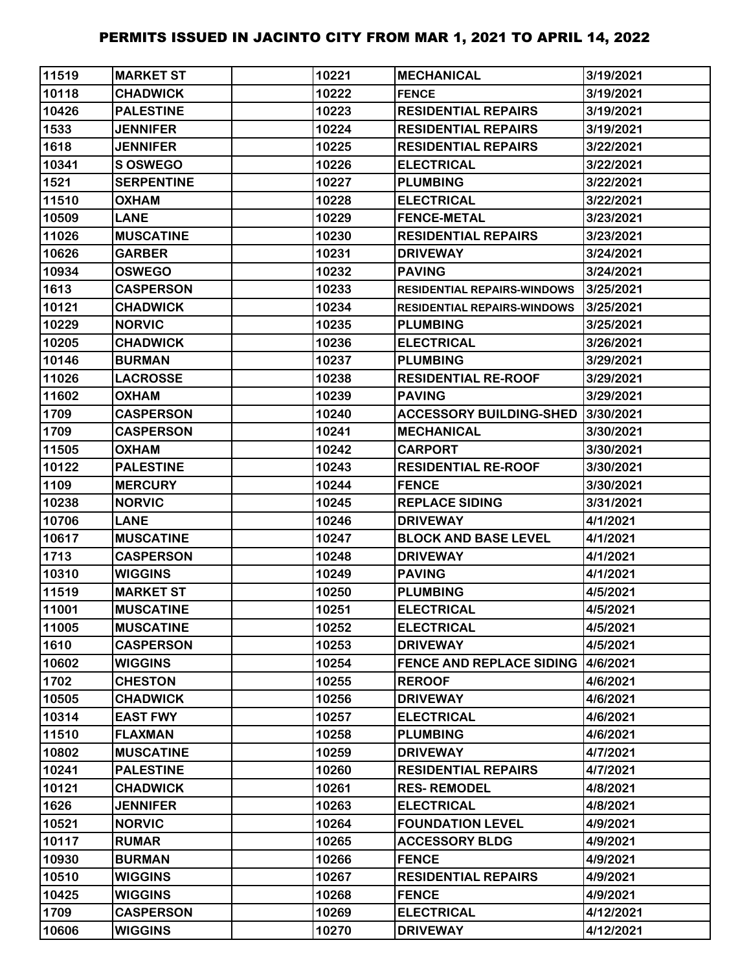| 11519 | <b>MARKET ST</b>  | 10221 | <b>MECHANICAL</b>                         | 3/19/2021 |
|-------|-------------------|-------|-------------------------------------------|-----------|
| 10118 | <b>CHADWICK</b>   | 10222 | <b>FENCE</b>                              | 3/19/2021 |
| 10426 | <b>PALESTINE</b>  | 10223 | <b>RESIDENTIAL REPAIRS</b>                | 3/19/2021 |
| 1533  | <b>JENNIFER</b>   | 10224 | <b>RESIDENTIAL REPAIRS</b>                | 3/19/2021 |
| 1618  | <b>JENNIFER</b>   | 10225 | <b>RESIDENTIAL REPAIRS</b>                | 3/22/2021 |
| 10341 | S OSWEGO          | 10226 | <b>ELECTRICAL</b>                         | 3/22/2021 |
| 1521  | <b>SERPENTINE</b> | 10227 | <b>PLUMBING</b>                           | 3/22/2021 |
| 11510 | <b>OXHAM</b>      | 10228 | <b>ELECTRICAL</b>                         | 3/22/2021 |
| 10509 | <b>LANE</b>       | 10229 | <b>FENCE-METAL</b>                        | 3/23/2021 |
| 11026 | <b>MUSCATINE</b>  | 10230 | <b>RESIDENTIAL REPAIRS</b>                | 3/23/2021 |
| 10626 | <b>GARBER</b>     | 10231 | <b>DRIVEWAY</b>                           | 3/24/2021 |
| 10934 | <b>OSWEGO</b>     | 10232 | <b>PAVING</b>                             | 3/24/2021 |
| 1613  | <b>CASPERSON</b>  | 10233 | <b>RESIDENTIAL REPAIRS-WINDOWS</b>        | 3/25/2021 |
| 10121 | <b>CHADWICK</b>   | 10234 | <b>RESIDENTIAL REPAIRS-WINDOWS</b>        | 3/25/2021 |
| 10229 | <b>NORVIC</b>     | 10235 | <b>PLUMBING</b>                           | 3/25/2021 |
| 10205 | <b>CHADWICK</b>   | 10236 | <b>ELECTRICAL</b>                         | 3/26/2021 |
| 10146 | <b>BURMAN</b>     | 10237 | <b>PLUMBING</b>                           | 3/29/2021 |
| 11026 | <b>LACROSSE</b>   | 10238 | <b>RESIDENTIAL RE-ROOF</b>                | 3/29/2021 |
| 11602 | <b>OXHAM</b>      | 10239 | <b>PAVING</b>                             | 3/29/2021 |
| 1709  | <b>CASPERSON</b>  | 10240 | <b>ACCESSORY BUILDING-SHED</b>            | 3/30/2021 |
| 1709  | <b>CASPERSON</b>  | 10241 | <b>MECHANICAL</b>                         | 3/30/2021 |
| 11505 | <b>OXHAM</b>      | 10242 | <b>CARPORT</b>                            | 3/30/2021 |
| 10122 | <b>PALESTINE</b>  | 10243 | <b>RESIDENTIAL RE-ROOF</b>                | 3/30/2021 |
| 1109  | <b>MERCURY</b>    | 10244 | <b>FENCE</b>                              | 3/30/2021 |
| 10238 | <b>NORVIC</b>     | 10245 | <b>REPLACE SIDING</b>                     | 3/31/2021 |
| 10706 | <b>LANE</b>       | 10246 | <b>DRIVEWAY</b>                           | 4/1/2021  |
| 10617 | <b>MUSCATINE</b>  | 10247 | <b>BLOCK AND BASE LEVEL</b>               | 4/1/2021  |
| 1713  | <b>CASPERSON</b>  | 10248 | <b>DRIVEWAY</b>                           | 4/1/2021  |
| 10310 | <b>WIGGINS</b>    | 10249 | <b>PAVING</b>                             | 4/1/2021  |
| 11519 | <b>MARKET ST</b>  | 10250 | <b>PLUMBING</b>                           | 4/5/2021  |
| 11001 | <b>MUSCATINE</b>  | 10251 | <b>ELECTRICAL</b>                         | 4/5/2021  |
| 11005 | <b>MUSCATINE</b>  | 10252 | <b>ELECTRICAL</b>                         | 4/5/2021  |
| 1610  | <b>CASPERSON</b>  | 10253 | <b>DRIVEWAY</b>                           | 4/5/2021  |
| 10602 | <b>WIGGINS</b>    | 10254 | <b>FENCE AND REPLACE SIDING 14/6/2021</b> |           |
| 1702  | <b>CHESTON</b>    | 10255 | <b>REROOF</b>                             | 4/6/2021  |
| 10505 | <b>CHADWICK</b>   | 10256 | <b>DRIVEWAY</b>                           | 4/6/2021  |
| 10314 | <b>EAST FWY</b>   | 10257 | <b>ELECTRICAL</b>                         | 4/6/2021  |
| 11510 | <b>FLAXMAN</b>    | 10258 | <b>PLUMBING</b>                           | 4/6/2021  |
| 10802 | <b>MUSCATINE</b>  | 10259 | <b>DRIVEWAY</b>                           | 4/7/2021  |
| 10241 | <b>PALESTINE</b>  | 10260 | <b>RESIDENTIAL REPAIRS</b>                | 4/7/2021  |
| 10121 | <b>CHADWICK</b>   | 10261 | <b>RES-REMODEL</b>                        | 4/8/2021  |
| 1626  | <b>JENNIFER</b>   | 10263 | <b>ELECTRICAL</b>                         | 4/8/2021  |
| 10521 | <b>NORVIC</b>     | 10264 | <b>FOUNDATION LEVEL</b>                   | 4/9/2021  |
| 10117 | <b>RUMAR</b>      | 10265 | <b>ACCESSORY BLDG</b>                     | 4/9/2021  |
| 10930 | <b>BURMAN</b>     | 10266 | <b>FENCE</b>                              | 4/9/2021  |
| 10510 | <b>WIGGINS</b>    | 10267 | <b>RESIDENTIAL REPAIRS</b>                | 4/9/2021  |
| 10425 | <b>WIGGINS</b>    | 10268 | <b>FENCE</b>                              | 4/9/2021  |
| 1709  | <b>CASPERSON</b>  | 10269 | <b>ELECTRICAL</b>                         | 4/12/2021 |
| 10606 | <b>WIGGINS</b>    | 10270 | <b>DRIVEWAY</b>                           | 4/12/2021 |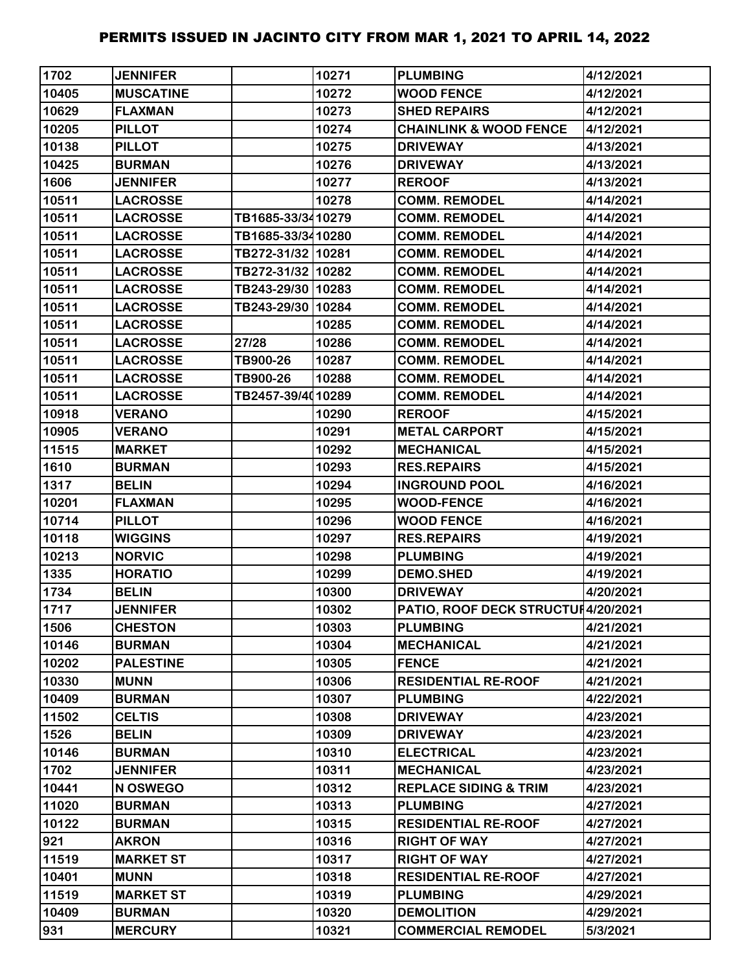| 1702  | <b>JENNIFER</b>  |                   | 10271 | <b>PLUMBING</b>                     | 4/12/2021 |
|-------|------------------|-------------------|-------|-------------------------------------|-----------|
| 10405 | <b>MUSCATINE</b> |                   | 10272 | <b>WOOD FENCE</b>                   | 4/12/2021 |
| 10629 | <b>FLAXMAN</b>   |                   | 10273 | <b>SHED REPAIRS</b>                 | 4/12/2021 |
| 10205 | <b>PILLOT</b>    |                   | 10274 | <b>CHAINLINK &amp; WOOD FENCE</b>   | 4/12/2021 |
| 10138 | <b>PILLOT</b>    |                   | 10275 | <b>DRIVEWAY</b>                     | 4/13/2021 |
| 10425 | <b>BURMAN</b>    |                   | 10276 | <b>DRIVEWAY</b>                     | 4/13/2021 |
| 1606  | <b>JENNIFER</b>  |                   | 10277 | <b>REROOF</b>                       | 4/13/2021 |
| 10511 | <b>LACROSSE</b>  |                   | 10278 | <b>COMM. REMODEL</b>                | 4/14/2021 |
| 10511 | <b>LACROSSE</b>  | TB1685-33/3410279 |       | <b>COMM. REMODEL</b>                | 4/14/2021 |
| 10511 | <b>LACROSSE</b>  | TB1685-33/3410280 |       | <b>COMM. REMODEL</b>                | 4/14/2021 |
| 10511 | <b>LACROSSE</b>  | TB272-31/32 10281 |       | <b>COMM. REMODEL</b>                | 4/14/2021 |
| 10511 | <b>LACROSSE</b>  | TB272-31/32 10282 |       | <b>COMM. REMODEL</b>                | 4/14/2021 |
| 10511 | <b>LACROSSE</b>  | TB243-29/30 10283 |       | <b>COMM. REMODEL</b>                | 4/14/2021 |
| 10511 | <b>LACROSSE</b>  | TB243-29/30 10284 |       | <b>COMM. REMODEL</b>                | 4/14/2021 |
| 10511 | <b>LACROSSE</b>  |                   | 10285 | <b>COMM. REMODEL</b>                | 4/14/2021 |
| 10511 | <b>LACROSSE</b>  | 27/28             | 10286 | <b>COMM. REMODEL</b>                | 4/14/2021 |
| 10511 | <b>LACROSSE</b>  | TB900-26          | 10287 | <b>COMM. REMODEL</b>                | 4/14/2021 |
| 10511 | <b>LACROSSE</b>  | TB900-26          | 10288 | <b>COMM. REMODEL</b>                | 4/14/2021 |
| 10511 | <b>LACROSSE</b>  | TB2457-39/4010289 |       | <b>COMM. REMODEL</b>                | 4/14/2021 |
| 10918 | <b>VERANO</b>    |                   | 10290 | <b>REROOF</b>                       | 4/15/2021 |
| 10905 | <b>VERANO</b>    |                   | 10291 | <b>METAL CARPORT</b>                | 4/15/2021 |
| 11515 | <b>MARKET</b>    |                   | 10292 | <b>MECHANICAL</b>                   | 4/15/2021 |
| 1610  | <b>BURMAN</b>    |                   | 10293 | <b>RES.REPAIRS</b>                  | 4/15/2021 |
| 1317  | <b>BELIN</b>     |                   | 10294 | <b>INGROUND POOL</b>                | 4/16/2021 |
| 10201 | <b>FLAXMAN</b>   |                   | 10295 | <b>WOOD-FENCE</b>                   | 4/16/2021 |
| 10714 | <b>PILLOT</b>    |                   | 10296 | <b>WOOD FENCE</b>                   | 4/16/2021 |
| 10118 | <b>WIGGINS</b>   |                   | 10297 | <b>RES.REPAIRS</b>                  | 4/19/2021 |
| 10213 | <b>NORVIC</b>    |                   | 10298 | <b>PLUMBING</b>                     | 4/19/2021 |
| 1335  | <b>HORATIO</b>   |                   | 10299 | <b>DEMO.SHED</b>                    | 4/19/2021 |
| 1734  | <b>BELIN</b>     |                   | 10300 | <b>DRIVEWAY</b>                     | 4/20/2021 |
| 1717  | <b>JENNIFER</b>  |                   | 10302 | PATIO, ROOF DECK STRUCTUI 4/20/2021 |           |
| 1506  | <b>CHESTON</b>   |                   | 10303 | <b>PLUMBING</b>                     | 4/21/2021 |
| 10146 | <b>BURMAN</b>    |                   | 10304 | <b>MECHANICAL</b>                   | 4/21/2021 |
| 10202 | <b>PALESTINE</b> |                   | 10305 | <b>FENCE</b>                        | 4/21/2021 |
| 10330 | <b>MUNN</b>      |                   | 10306 | <b>RESIDENTIAL RE-ROOF</b>          | 4/21/2021 |
| 10409 | <b>BURMAN</b>    |                   | 10307 | <b>PLUMBING</b>                     | 4/22/2021 |
| 11502 | <b>CELTIS</b>    |                   | 10308 | <b>DRIVEWAY</b>                     | 4/23/2021 |
| 1526  | <b>BELIN</b>     |                   | 10309 | <b>DRIVEWAY</b>                     | 4/23/2021 |
| 10146 | <b>BURMAN</b>    |                   | 10310 | <b>ELECTRICAL</b>                   | 4/23/2021 |
| 1702  | <b>JENNIFER</b>  |                   | 10311 | <b>MECHANICAL</b>                   | 4/23/2021 |
| 10441 | N OSWEGO         |                   | 10312 | <b>REPLACE SIDING &amp; TRIM</b>    | 4/23/2021 |
| 11020 | <b>BURMAN</b>    |                   | 10313 | <b>PLUMBING</b>                     | 4/27/2021 |
| 10122 | <b>BURMAN</b>    |                   | 10315 | <b>RESIDENTIAL RE-ROOF</b>          | 4/27/2021 |
| 921   | <b>AKRON</b>     |                   | 10316 | <b>RIGHT OF WAY</b>                 | 4/27/2021 |
| 11519 | <b>MARKET ST</b> |                   | 10317 | <b>RIGHT OF WAY</b>                 | 4/27/2021 |
| 10401 | <b>MUNN</b>      |                   | 10318 | <b>RESIDENTIAL RE-ROOF</b>          | 4/27/2021 |
| 11519 | <b>MARKET ST</b> |                   | 10319 | <b>PLUMBING</b>                     | 4/29/2021 |
| 10409 | <b>BURMAN</b>    |                   | 10320 | <b>DEMOLITION</b>                   | 4/29/2021 |
| 931   | <b>MERCURY</b>   |                   | 10321 | <b>COMMERCIAL REMODEL</b>           | 5/3/2021  |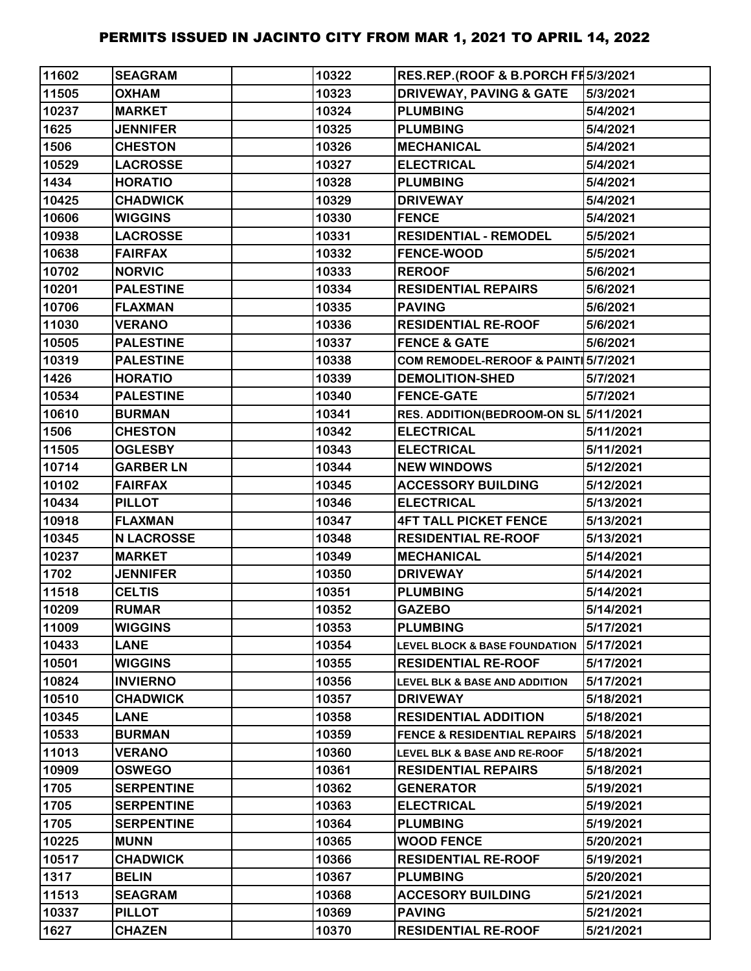| 11602 | <b>SEAGRAM</b>    | 10322 | RES.REP.(ROOF & B.PORCH FH5/3/2021       |           |
|-------|-------------------|-------|------------------------------------------|-----------|
| 11505 | <b>OXHAM</b>      | 10323 | <b>DRIVEWAY, PAVING &amp; GATE</b>       | 5/3/2021  |
| 10237 | <b>MARKET</b>     | 10324 | <b>PLUMBING</b>                          | 5/4/2021  |
| 1625  | <b>JENNIFER</b>   | 10325 | <b>PLUMBING</b>                          | 5/4/2021  |
| 1506  | <b>CHESTON</b>    | 10326 | <b>MECHANICAL</b>                        | 5/4/2021  |
| 10529 | <b>LACROSSE</b>   | 10327 | <b>ELECTRICAL</b>                        | 5/4/2021  |
| 1434  | <b>HORATIO</b>    | 10328 | <b>PLUMBING</b>                          | 5/4/2021  |
| 10425 | <b>CHADWICK</b>   | 10329 | <b>DRIVEWAY</b>                          | 5/4/2021  |
| 10606 | <b>WIGGINS</b>    | 10330 | <b>FENCE</b>                             | 5/4/2021  |
| 10938 | <b>LACROSSE</b>   | 10331 | <b>RESIDENTIAL - REMODEL</b>             | 5/5/2021  |
| 10638 | <b>FAIRFAX</b>    | 10332 | <b>FENCE-WOOD</b>                        | 5/5/2021  |
| 10702 | <b>NORVIC</b>     | 10333 | <b>REROOF</b>                            | 5/6/2021  |
| 10201 | <b>PALESTINE</b>  | 10334 | <b>RESIDENTIAL REPAIRS</b>               | 5/6/2021  |
| 10706 | <b>FLAXMAN</b>    | 10335 | <b>PAVING</b>                            | 5/6/2021  |
| 11030 | <b>VERANO</b>     | 10336 | <b>RESIDENTIAL RE-ROOF</b>               | 5/6/2021  |
| 10505 | <b>PALESTINE</b>  | 10337 | <b>FENCE &amp; GATE</b>                  | 5/6/2021  |
| 10319 | <b>PALESTINE</b>  | 10338 | COM REMODEL-REROOF & PAINT 5/7/2021      |           |
| 1426  | <b>HORATIO</b>    | 10339 | <b>DEMOLITION-SHED</b>                   | 5/7/2021  |
| 10534 | <b>PALESTINE</b>  | 10340 | <b>FENCE-GATE</b>                        | 5/7/2021  |
| 10610 | <b>BURMAN</b>     | 10341 | RES. ADDITION(BEDROOM-ON SL 5/11/2021    |           |
| 1506  | <b>CHESTON</b>    | 10342 | <b>ELECTRICAL</b>                        | 5/11/2021 |
| 11505 | <b>OGLESBY</b>    | 10343 | <b>ELECTRICAL</b>                        | 5/11/2021 |
| 10714 | <b>GARBER LN</b>  | 10344 | <b>NEW WINDOWS</b>                       | 5/12/2021 |
| 10102 | <b>FAIRFAX</b>    | 10345 | <b>ACCESSORY BUILDING</b>                | 5/12/2021 |
| 10434 | <b>PILLOT</b>     | 10346 | <b>ELECTRICAL</b>                        | 5/13/2021 |
| 10918 | <b>FLAXMAN</b>    | 10347 | <b>4FT TALL PICKET FENCE</b>             | 5/13/2021 |
| 10345 | <b>N LACROSSE</b> | 10348 | <b>RESIDENTIAL RE-ROOF</b>               | 5/13/2021 |
| 10237 | <b>MARKET</b>     | 10349 | <b>MECHANICAL</b>                        | 5/14/2021 |
| 1702  | <b>JENNIFER</b>   | 10350 | <b>DRIVEWAY</b>                          | 5/14/2021 |
| 11518 | <b>CELTIS</b>     | 10351 | <b>PLUMBING</b>                          | 5/14/2021 |
| 10209 | <b>RUMAR</b>      | 10352 | <b>GAZEBO</b>                            | 5/14/2021 |
| 11009 | <b>WIGGINS</b>    | 10353 | <b>PLUMBING</b>                          | 5/17/2021 |
| 10433 | <b>LANE</b>       | 10354 | LEVEL BLOCK & BASE FOUNDATION            | 5/17/2021 |
| 10501 | <b>WIGGINS</b>    | 10355 | <b>RESIDENTIAL RE-ROOF</b>               | 5/17/2021 |
| 10824 | <b>INVIERNO</b>   | 10356 | <b>LEVEL BLK &amp; BASE AND ADDITION</b> | 5/17/2021 |
| 10510 | <b>CHADWICK</b>   | 10357 | <b>DRIVEWAY</b>                          | 5/18/2021 |
| 10345 | <b>LANE</b>       | 10358 | <b>RESIDENTIAL ADDITION</b>              | 5/18/2021 |
| 10533 | <b>BURMAN</b>     | 10359 | <b>FENCE &amp; RESIDENTIAL REPAIRS</b>   | 5/18/2021 |
| 11013 | <b>VERANO</b>     | 10360 | LEVEL BLK & BASE AND RE-ROOF             | 5/18/2021 |
| 10909 | <b>OSWEGO</b>     | 10361 | <b>RESIDENTIAL REPAIRS</b>               | 5/18/2021 |
| 1705  | <b>SERPENTINE</b> | 10362 | <b>GENERATOR</b>                         | 5/19/2021 |
| 1705  | <b>SERPENTINE</b> | 10363 | <b>ELECTRICAL</b>                        | 5/19/2021 |
| 1705  | <b>SERPENTINE</b> | 10364 | <b>PLUMBING</b>                          | 5/19/2021 |
| 10225 | <b>MUNN</b>       | 10365 | <b>WOOD FENCE</b>                        | 5/20/2021 |
| 10517 | <b>CHADWICK</b>   | 10366 | <b>RESIDENTIAL RE-ROOF</b>               | 5/19/2021 |
| 1317  | <b>BELIN</b>      | 10367 | <b>PLUMBING</b>                          | 5/20/2021 |
| 11513 | <b>SEAGRAM</b>    | 10368 | <b>ACCESORY BUILDING</b>                 | 5/21/2021 |
| 10337 | <b>PILLOT</b>     | 10369 | <b>PAVING</b>                            | 5/21/2021 |
| 1627  | <b>CHAZEN</b>     | 10370 | <b>RESIDENTIAL RE-ROOF</b>               | 5/21/2021 |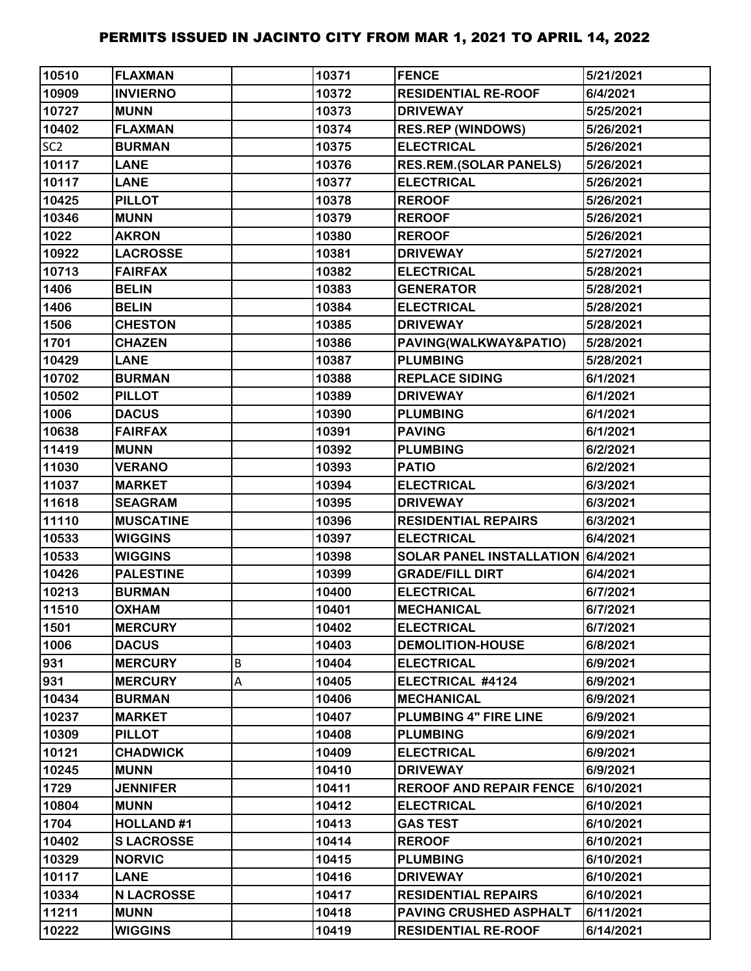| 10510           | <b>FLAXMAN</b>    |   | 10371 | <b>FENCE</b>                      | 5/21/2021 |
|-----------------|-------------------|---|-------|-----------------------------------|-----------|
| 10909           | <b>INVIERNO</b>   |   | 10372 | <b>RESIDENTIAL RE-ROOF</b>        | 6/4/2021  |
| 10727           | <b>MUNN</b>       |   | 10373 | <b>DRIVEWAY</b>                   | 5/25/2021 |
| 10402           | <b>FLAXMAN</b>    |   | 10374 | <b>RES.REP (WINDOWS)</b>          | 5/26/2021 |
| SC <sub>2</sub> | <b>BURMAN</b>     |   | 10375 | <b>ELECTRICAL</b>                 | 5/26/2021 |
| 10117           | <b>LANE</b>       |   | 10376 | <b>RES.REM.(SOLAR PANELS)</b>     | 5/26/2021 |
| 10117           | <b>LANE</b>       |   | 10377 | <b>ELECTRICAL</b>                 | 5/26/2021 |
| 10425           | <b>PILLOT</b>     |   | 10378 | <b>REROOF</b>                     | 5/26/2021 |
| 10346           | <b>MUNN</b>       |   | 10379 | <b>REROOF</b>                     | 5/26/2021 |
| 1022            | <b>AKRON</b>      |   | 10380 | <b>REROOF</b>                     | 5/26/2021 |
| 10922           | <b>LACROSSE</b>   |   | 10381 | <b>DRIVEWAY</b>                   | 5/27/2021 |
| 10713           | <b>FAIRFAX</b>    |   | 10382 | <b>ELECTRICAL</b>                 | 5/28/2021 |
| 1406            | <b>BELIN</b>      |   | 10383 | <b>GENERATOR</b>                  | 5/28/2021 |
| 1406            | <b>BELIN</b>      |   | 10384 | <b>ELECTRICAL</b>                 | 5/28/2021 |
| 1506            | <b>CHESTON</b>    |   | 10385 | <b>DRIVEWAY</b>                   | 5/28/2021 |
| 1701            | <b>CHAZEN</b>     |   | 10386 | PAVING(WALKWAY&PATIO)             | 5/28/2021 |
| 10429           | <b>LANE</b>       |   | 10387 | <b>PLUMBING</b>                   | 5/28/2021 |
| 10702           | <b>BURMAN</b>     |   | 10388 | <b>REPLACE SIDING</b>             | 6/1/2021  |
| 10502           | <b>PILLOT</b>     |   | 10389 | <b>DRIVEWAY</b>                   | 6/1/2021  |
| 1006            | <b>DACUS</b>      |   | 10390 | <b>PLUMBING</b>                   | 6/1/2021  |
| 10638           | <b>FAIRFAX</b>    |   | 10391 | <b>PAVING</b>                     | 6/1/2021  |
| 11419           | <b>MUNN</b>       |   | 10392 | <b>PLUMBING</b>                   | 6/2/2021  |
| 11030           | <b>VERANO</b>     |   | 10393 | <b>PATIO</b>                      | 6/2/2021  |
| 11037           | <b>MARKET</b>     |   | 10394 | <b>ELECTRICAL</b>                 | 6/3/2021  |
| 11618           | <b>SEAGRAM</b>    |   | 10395 | <b>DRIVEWAY</b>                   | 6/3/2021  |
| 11110           | <b>MUSCATINE</b>  |   | 10396 | <b>RESIDENTIAL REPAIRS</b>        | 6/3/2021  |
| 10533           | <b>WIGGINS</b>    |   | 10397 | <b>ELECTRICAL</b>                 | 6/4/2021  |
| 10533           | <b>WIGGINS</b>    |   | 10398 | SOLAR PANEL INSTALLATION 6/4/2021 |           |
| 10426           | <b>PALESTINE</b>  |   | 10399 | <b>GRADE/FILL DIRT</b>            | 6/4/2021  |
| 10213           | <b>BURMAN</b>     |   | 10400 | <b>ELECTRICAL</b>                 | 6/7/2021  |
| 11510           | <b>OXHAM</b>      |   | 10401 | <b>MECHANICAL</b>                 | 6/7/2021  |
| 1501            | <b>MERCURY</b>    |   | 10402 | <b>ELECTRICAL</b>                 | 6/7/2021  |
| 1006            | <b>DACUS</b>      |   | 10403 | <b>DEMOLITION-HOUSE</b>           | 6/8/2021  |
| 931             | <b>MERCURY</b>    | B | 10404 | <b>ELECTRICAL</b>                 | 6/9/2021  |
| 931             | <b>MERCURY</b>    | Α | 10405 | ELECTRICAL #4124                  | 6/9/2021  |
| 10434           | <b>BURMAN</b>     |   | 10406 | <b>MECHANICAL</b>                 | 6/9/2021  |
| 10237           | <b>MARKET</b>     |   | 10407 | PLUMBING 4" FIRE LINE             | 6/9/2021  |
| 10309           | <b>PILLOT</b>     |   | 10408 | <b>PLUMBING</b>                   | 6/9/2021  |
| 10121           | <b>CHADWICK</b>   |   | 10409 | <b>ELECTRICAL</b>                 | 6/9/2021  |
| 10245           | <b>MUNN</b>       |   | 10410 | <b>DRIVEWAY</b>                   | 6/9/2021  |
| 1729            | <b>JENNIFER</b>   |   | 10411 | <b>REROOF AND REPAIR FENCE</b>    | 6/10/2021 |
| 10804           | <b>MUNN</b>       |   | 10412 | <b>ELECTRICAL</b>                 | 6/10/2021 |
| 1704            | <b>HOLLAND#1</b>  |   | 10413 | <b>GAS TEST</b>                   | 6/10/2021 |
| 10402           | <b>SLACROSSE</b>  |   | 10414 | <b>REROOF</b>                     | 6/10/2021 |
| 10329           | <b>NORVIC</b>     |   | 10415 | <b>PLUMBING</b>                   | 6/10/2021 |
| 10117           | <b>LANE</b>       |   | 10416 | <b>DRIVEWAY</b>                   | 6/10/2021 |
| 10334           | <b>N LACROSSE</b> |   | 10417 | <b>RESIDENTIAL REPAIRS</b>        | 6/10/2021 |
| 11211           | <b>MUNN</b>       |   | 10418 | <b>PAVING CRUSHED ASPHALT</b>     | 6/11/2021 |
| 10222           | <b>WIGGINS</b>    |   | 10419 | <b>RESIDENTIAL RE-ROOF</b>        | 6/14/2021 |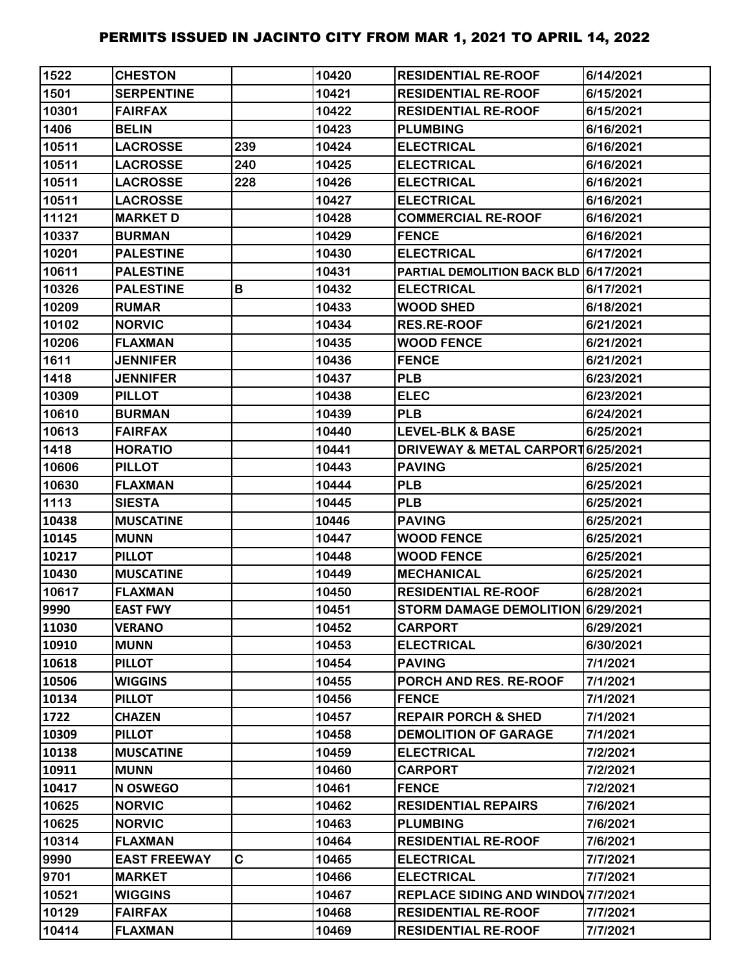| 1522  | <b>CHESTON</b>      |             | 10420 | <b>RESIDENTIAL RE-ROOF</b>                   | 6/14/2021 |
|-------|---------------------|-------------|-------|----------------------------------------------|-----------|
| 1501  | <b>SERPENTINE</b>   |             | 10421 | <b>RESIDENTIAL RE-ROOF</b>                   | 6/15/2021 |
| 10301 | <b>FAIRFAX</b>      |             | 10422 | <b>RESIDENTIAL RE-ROOF</b>                   | 6/15/2021 |
| 1406  | <b>BELIN</b>        |             | 10423 | <b>PLUMBING</b>                              | 6/16/2021 |
| 10511 | <b>LACROSSE</b>     | 239         | 10424 | <b>ELECTRICAL</b>                            | 6/16/2021 |
| 10511 | <b>LACROSSE</b>     | 240         | 10425 | <b>ELECTRICAL</b>                            | 6/16/2021 |
| 10511 | <b>LACROSSE</b>     | 228         | 10426 | <b>ELECTRICAL</b>                            | 6/16/2021 |
| 10511 | <b>LACROSSE</b>     |             | 10427 | <b>ELECTRICAL</b>                            | 6/16/2021 |
| 11121 | <b>MARKET D</b>     |             | 10428 | <b>COMMERCIAL RE-ROOF</b>                    | 6/16/2021 |
| 10337 | <b>BURMAN</b>       |             | 10429 | <b>FENCE</b>                                 | 6/16/2021 |
| 10201 | <b>PALESTINE</b>    |             | 10430 | <b>ELECTRICAL</b>                            | 6/17/2021 |
| 10611 | <b>PALESTINE</b>    |             | 10431 | PARTIAL DEMOLITION BACK BLD 6/17/2021        |           |
| 10326 | <b>PALESTINE</b>    | В           | 10432 | <b>ELECTRICAL</b>                            | 6/17/2021 |
| 10209 | <b>RUMAR</b>        |             | 10433 | <b>WOOD SHED</b>                             | 6/18/2021 |
| 10102 | <b>NORVIC</b>       |             | 10434 | <b>RES.RE-ROOF</b>                           | 6/21/2021 |
| 10206 | <b>FLAXMAN</b>      |             | 10435 | <b>WOOD FENCE</b>                            | 6/21/2021 |
| 1611  | <b>JENNIFER</b>     |             | 10436 | <b>FENCE</b>                                 | 6/21/2021 |
| 1418  | <b>JENNIFER</b>     |             | 10437 | <b>PLB</b>                                   | 6/23/2021 |
| 10309 | <b>PILLOT</b>       |             | 10438 | <b>ELEC</b>                                  | 6/23/2021 |
| 10610 | <b>BURMAN</b>       |             | 10439 | <b>PLB</b>                                   | 6/24/2021 |
| 10613 | <b>FAIRFAX</b>      |             | 10440 | <b>LEVEL-BLK &amp; BASE</b>                  | 6/25/2021 |
| 1418  | <b>HORATIO</b>      |             | 10441 | <b>DRIVEWAY &amp; METAL CARPORT6/25/2021</b> |           |
| 10606 | <b>PILLOT</b>       |             | 10443 | <b>PAVING</b>                                | 6/25/2021 |
| 10630 | <b>FLAXMAN</b>      |             | 10444 | <b>PLB</b>                                   | 6/25/2021 |
| 1113  | <b>SIESTA</b>       |             | 10445 | <b>PLB</b>                                   | 6/25/2021 |
| 10438 | <b>MUSCATINE</b>    |             | 10446 | <b>PAVING</b>                                | 6/25/2021 |
| 10145 | <b>MUNN</b>         |             | 10447 | <b>WOOD FENCE</b>                            | 6/25/2021 |
| 10217 | <b>PILLOT</b>       |             | 10448 | <b>WOOD FENCE</b>                            | 6/25/2021 |
| 10430 | <b>MUSCATINE</b>    |             | 10449 | <b>MECHANICAL</b>                            | 6/25/2021 |
| 10617 | <b>FLAXMAN</b>      |             | 10450 | <b>RESIDENTIAL RE-ROOF</b>                   | 6/28/2021 |
| 9990  | <b>EAST FWY</b>     |             | 10451 | STORM DAMAGE DEMOLITION 6/29/2021            |           |
| 11030 | <b>VERANO</b>       |             | 10452 | <b>CARPORT</b>                               | 6/29/2021 |
| 10910 | <b>MUNN</b>         |             | 10453 | <b>ELECTRICAL</b>                            | 6/30/2021 |
| 10618 | <b>PILLOT</b>       |             | 10454 | <b>PAVING</b>                                | 7/1/2021  |
| 10506 | <b>WIGGINS</b>      |             | 10455 | PORCH AND RES. RE-ROOF                       | 7/1/2021  |
| 10134 | <b>PILLOT</b>       |             | 10456 | <b>FENCE</b>                                 | 7/1/2021  |
| 1722  | <b>CHAZEN</b>       |             | 10457 | <b>REPAIR PORCH &amp; SHED</b>               | 7/1/2021  |
| 10309 | <b>PILLOT</b>       |             | 10458 | <b>DEMOLITION OF GARAGE</b>                  | 7/1/2021  |
| 10138 | <b>MUSCATINE</b>    |             | 10459 | <b>ELECTRICAL</b>                            | 7/2/2021  |
| 10911 | <b>MUNN</b>         |             | 10460 | <b>CARPORT</b>                               | 7/2/2021  |
| 10417 | N OSWEGO            |             | 10461 | <b>FENCE</b>                                 | 7/2/2021  |
| 10625 | <b>NORVIC</b>       |             | 10462 | <b>RESIDENTIAL REPAIRS</b>                   | 7/6/2021  |
| 10625 | <b>NORVIC</b>       |             | 10463 | <b>PLUMBING</b>                              | 7/6/2021  |
| 10314 | <b>FLAXMAN</b>      |             | 10464 | <b>RESIDENTIAL RE-ROOF</b>                   | 7/6/2021  |
| 9990  | <b>EAST FREEWAY</b> | $\mathbf C$ | 10465 | <b>ELECTRICAL</b>                            | 7/7/2021  |
| 9701  | <b>MARKET</b>       |             | 10466 | <b>ELECTRICAL</b>                            | 7/7/2021  |
| 10521 | <b>WIGGINS</b>      |             | 10467 | <b>REPLACE SIDING AND WINDOV 7/7/2021</b>    |           |
| 10129 | <b>FAIRFAX</b>      |             | 10468 | <b>RESIDENTIAL RE-ROOF</b>                   | 7/7/2021  |
| 10414 | <b>FLAXMAN</b>      |             | 10469 | <b>RESIDENTIAL RE-ROOF</b>                   | 7/7/2021  |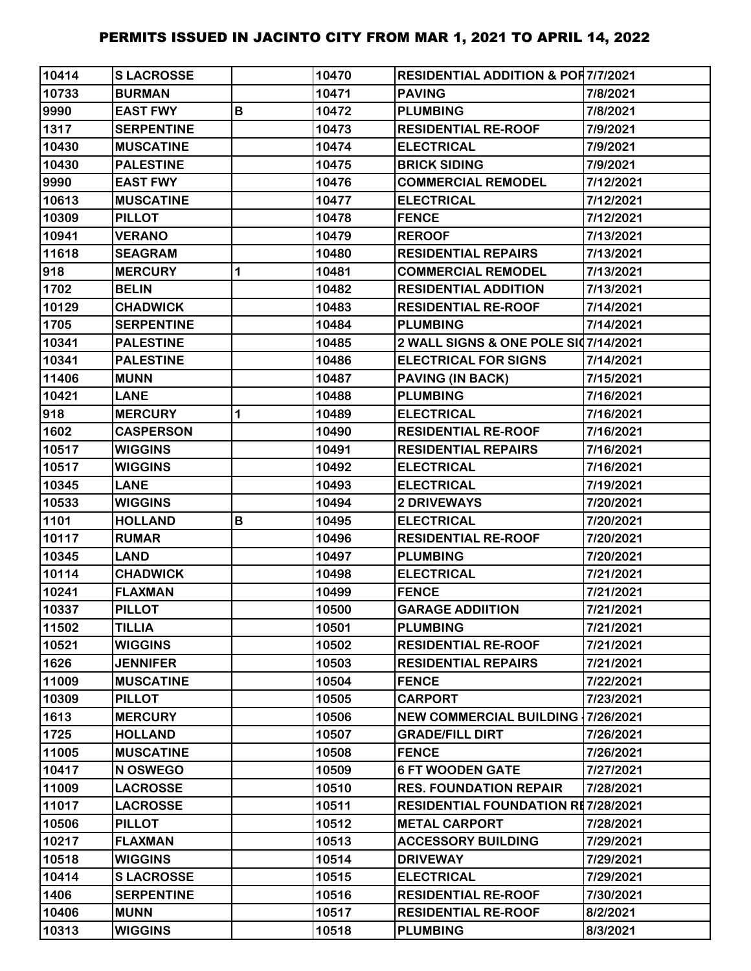| 10414 | <b>SLACROSSE</b>  |             | 10470 | <b>RESIDENTIAL ADDITION &amp; POR7/7/2021</b> |           |
|-------|-------------------|-------------|-------|-----------------------------------------------|-----------|
| 10733 | <b>BURMAN</b>     |             | 10471 | <b>PAVING</b>                                 | 7/8/2021  |
| 9990  | <b>EAST FWY</b>   | B           | 10472 | <b>PLUMBING</b>                               | 7/8/2021  |
| 1317  | <b>SERPENTINE</b> |             | 10473 | <b>RESIDENTIAL RE-ROOF</b>                    | 7/9/2021  |
| 10430 | <b>MUSCATINE</b>  |             | 10474 | <b>ELECTRICAL</b>                             | 7/9/2021  |
| 10430 | <b>PALESTINE</b>  |             | 10475 | <b>BRICK SIDING</b>                           | 7/9/2021  |
| 9990  | <b>EAST FWY</b>   |             | 10476 | <b>COMMERCIAL REMODEL</b>                     | 7/12/2021 |
| 10613 | <b>MUSCATINE</b>  |             | 10477 | <b>ELECTRICAL</b>                             | 7/12/2021 |
| 10309 | <b>PILLOT</b>     |             | 10478 | <b>FENCE</b>                                  | 7/12/2021 |
| 10941 | <b>VERANO</b>     |             | 10479 | <b>REROOF</b>                                 | 7/13/2021 |
| 11618 | <b>SEAGRAM</b>    |             | 10480 | <b>RESIDENTIAL REPAIRS</b>                    | 7/13/2021 |
| 918   | <b>MERCURY</b>    | $\mathbf 1$ | 10481 | <b>COMMERCIAL REMODEL</b>                     | 7/13/2021 |
| 1702  | <b>BELIN</b>      |             | 10482 | <b>RESIDENTIAL ADDITION</b>                   | 7/13/2021 |
| 10129 | <b>CHADWICK</b>   |             | 10483 | <b>RESIDENTIAL RE-ROOF</b>                    | 7/14/2021 |
| 1705  | <b>SERPENTINE</b> |             | 10484 | <b>PLUMBING</b>                               | 7/14/2021 |
| 10341 | <b>PALESTINE</b>  |             | 10485 | 2 WALL SIGNS & ONE POLE SI07/14/2021          |           |
| 10341 | <b>PALESTINE</b>  |             | 10486 | <b>ELECTRICAL FOR SIGNS</b>                   | 7/14/2021 |
| 11406 | <b>MUNN</b>       |             | 10487 | <b>PAVING (IN BACK)</b>                       | 7/15/2021 |
| 10421 | <b>LANE</b>       |             | 10488 | <b>PLUMBING</b>                               | 7/16/2021 |
| 918   | <b>MERCURY</b>    | 1           | 10489 | <b>ELECTRICAL</b>                             | 7/16/2021 |
| 1602  | <b>CASPERSON</b>  |             | 10490 | <b>RESIDENTIAL RE-ROOF</b>                    | 7/16/2021 |
| 10517 | <b>WIGGINS</b>    |             | 10491 | <b>RESIDENTIAL REPAIRS</b>                    | 7/16/2021 |
| 10517 | <b>WIGGINS</b>    |             | 10492 | <b>ELECTRICAL</b>                             | 7/16/2021 |
| 10345 | <b>LANE</b>       |             | 10493 | <b>ELECTRICAL</b>                             | 7/19/2021 |
| 10533 | <b>WIGGINS</b>    |             | 10494 | <b>2 DRIVEWAYS</b>                            | 7/20/2021 |
| 1101  | <b>HOLLAND</b>    | B           | 10495 | <b>ELECTRICAL</b>                             | 7/20/2021 |
| 10117 | <b>RUMAR</b>      |             | 10496 | <b>RESIDENTIAL RE-ROOF</b>                    | 7/20/2021 |
| 10345 | <b>LAND</b>       |             | 10497 | <b>PLUMBING</b>                               | 7/20/2021 |
| 10114 | <b>CHADWICK</b>   |             | 10498 | <b>ELECTRICAL</b>                             | 7/21/2021 |
| 10241 | <b>FLAXMAN</b>    |             | 10499 | <b>FENCE</b>                                  | 7/21/2021 |
| 10337 | <b>PILLOT</b>     |             | 10500 | <b>GARAGE ADDIITION</b>                       | 7/21/2021 |
| 11502 | <b>TILLIA</b>     |             | 10501 | <b>PLUMBING</b>                               | 7/21/2021 |
| 10521 | <b>WIGGINS</b>    |             | 10502 | <b>RESIDENTIAL RE-ROOF</b>                    | 7/21/2021 |
| 1626  | <b>JENNIFER</b>   |             | 10503 | <b>RESIDENTIAL REPAIRS</b>                    | 7/21/2021 |
| 11009 | <b>MUSCATINE</b>  |             | 10504 | <b>FENCE</b>                                  | 7/22/2021 |
| 10309 | <b>PILLOT</b>     |             | 10505 | <b>CARPORT</b>                                | 7/23/2021 |
| 1613  | <b>MERCURY</b>    |             | 10506 | NEW COMMERCIAL BUILDING   7/26/2021           |           |
| 1725  | <b>HOLLAND</b>    |             | 10507 | <b>GRADE/FILL DIRT</b>                        | 7/26/2021 |
| 11005 | <b>MUSCATINE</b>  |             | 10508 | <b>FENCE</b>                                  | 7/26/2021 |
| 10417 | N OSWEGO          |             | 10509 | <b>6 FT WOODEN GATE</b>                       | 7/27/2021 |
| 11009 | <b>LACROSSE</b>   |             | 10510 | <b>RES. FOUNDATION REPAIR</b>                 | 7/28/2021 |
| 11017 | <b>LACROSSE</b>   |             | 10511 | <b>RESIDENTIAL FOUNDATION RE7/28/2021</b>     |           |
| 10506 | <b>PILLOT</b>     |             | 10512 | <b>METAL CARPORT</b>                          | 7/28/2021 |
| 10217 | <b>FLAXMAN</b>    |             | 10513 | <b>ACCESSORY BUILDING</b>                     | 7/29/2021 |
| 10518 | <b>WIGGINS</b>    |             | 10514 | <b>DRIVEWAY</b>                               | 7/29/2021 |
| 10414 | <b>SLACROSSE</b>  |             | 10515 | <b>ELECTRICAL</b>                             | 7/29/2021 |
| 1406  | <b>SERPENTINE</b> |             | 10516 | <b>RESIDENTIAL RE-ROOF</b>                    | 7/30/2021 |
| 10406 | <b>MUNN</b>       |             | 10517 | <b>RESIDENTIAL RE-ROOF</b>                    | 8/2/2021  |
| 10313 | <b>WIGGINS</b>    |             | 10518 | <b>PLUMBING</b>                               | 8/3/2021  |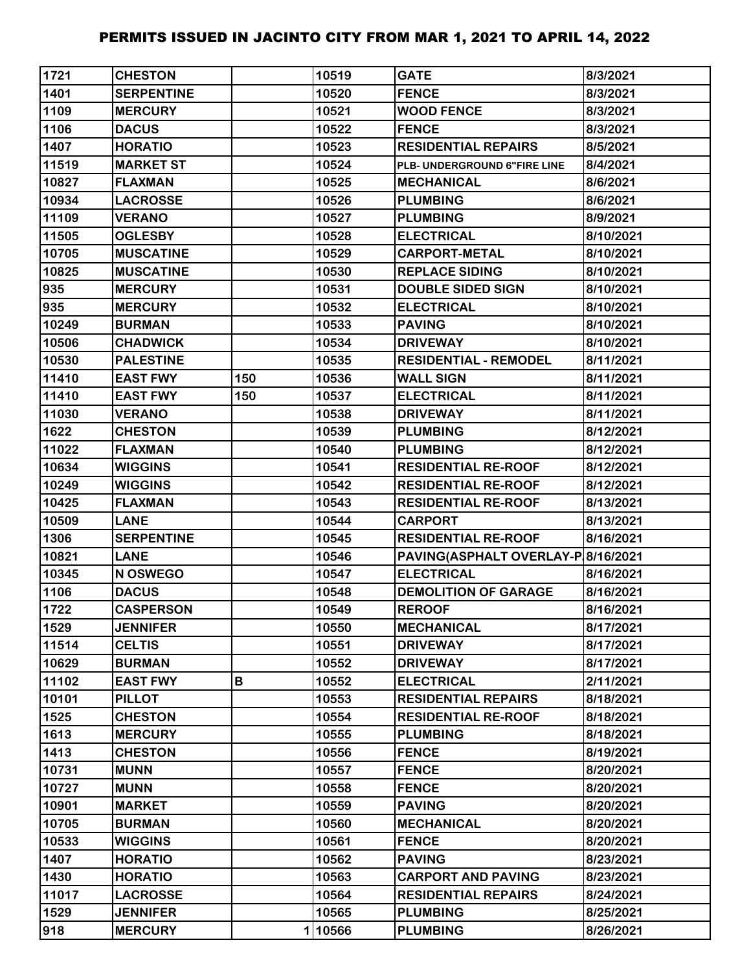| 1721  | <b>CHESTON</b>    |     | 10519  | <b>GATE</b>                        | 8/3/2021  |
|-------|-------------------|-----|--------|------------------------------------|-----------|
| 1401  | <b>SERPENTINE</b> |     | 10520  | <b>FENCE</b>                       | 8/3/2021  |
| 1109  | <b>MERCURY</b>    |     | 10521  | <b>WOOD FENCE</b>                  | 8/3/2021  |
| 1106  | <b>DACUS</b>      |     | 10522  | <b>FENCE</b>                       | 8/3/2021  |
| 1407  | <b>HORATIO</b>    |     | 10523  | <b>RESIDENTIAL REPAIRS</b>         | 8/5/2021  |
| 11519 | <b>MARKET ST</b>  |     | 10524  | PLB- UNDERGROUND 6"FIRE LINE       | 8/4/2021  |
| 10827 | <b>FLAXMAN</b>    |     | 10525  | <b>MECHANICAL</b>                  | 8/6/2021  |
| 10934 | <b>LACROSSE</b>   |     | 10526  | <b>PLUMBING</b>                    | 8/6/2021  |
| 11109 | <b>VERANO</b>     |     | 10527  | <b>PLUMBING</b>                    | 8/9/2021  |
| 11505 | <b>OGLESBY</b>    |     | 10528  | <b>ELECTRICAL</b>                  | 8/10/2021 |
| 10705 | <b>MUSCATINE</b>  |     | 10529  | <b>CARPORT-METAL</b>               | 8/10/2021 |
| 10825 | <b>MUSCATINE</b>  |     | 10530  | <b>REPLACE SIDING</b>              | 8/10/2021 |
| 935   | <b>MERCURY</b>    |     | 10531  | <b>DOUBLE SIDED SIGN</b>           | 8/10/2021 |
| 935   | <b>MERCURY</b>    |     | 10532  | <b>ELECTRICAL</b>                  | 8/10/2021 |
| 10249 | <b>BURMAN</b>     |     | 10533  | <b>PAVING</b>                      | 8/10/2021 |
| 10506 | <b>CHADWICK</b>   |     | 10534  | <b>DRIVEWAY</b>                    | 8/10/2021 |
| 10530 | <b>PALESTINE</b>  |     | 10535  | <b>RESIDENTIAL - REMODEL</b>       | 8/11/2021 |
| 11410 | <b>EAST FWY</b>   | 150 | 10536  | <b>WALL SIGN</b>                   | 8/11/2021 |
| 11410 | <b>EAST FWY</b>   | 150 | 10537  | <b>ELECTRICAL</b>                  | 8/11/2021 |
| 11030 | <b>VERANO</b>     |     | 10538  | <b>DRIVEWAY</b>                    | 8/11/2021 |
| 1622  | <b>CHESTON</b>    |     | 10539  | <b>PLUMBING</b>                    | 8/12/2021 |
| 11022 | <b>FLAXMAN</b>    |     | 10540  | <b>PLUMBING</b>                    | 8/12/2021 |
| 10634 | <b>WIGGINS</b>    |     | 10541  | <b>RESIDENTIAL RE-ROOF</b>         | 8/12/2021 |
| 10249 | <b>WIGGINS</b>    |     | 10542  | <b>RESIDENTIAL RE-ROOF</b>         | 8/12/2021 |
| 10425 | <b>FLAXMAN</b>    |     | 10543  | <b>RESIDENTIAL RE-ROOF</b>         | 8/13/2021 |
| 10509 | <b>LANE</b>       |     | 10544  | <b>CARPORT</b>                     | 8/13/2021 |
| 1306  | <b>SERPENTINE</b> |     | 10545  | <b>RESIDENTIAL RE-ROOF</b>         | 8/16/2021 |
| 10821 | <b>LANE</b>       |     | 10546  | PAVING(ASPHALT OVERLAY-P 8/16/2021 |           |
| 10345 | N OSWEGO          |     | 10547  | <b>ELECTRICAL</b>                  | 8/16/2021 |
| 1106  | <b>DACUS</b>      |     | 10548  | <b>DEMOLITION OF GARAGE</b>        | 8/16/2021 |
| 1722  | <b>CASPERSON</b>  |     | 10549  | <b>REROOF</b>                      | 8/16/2021 |
| 1529  | <b>JENNIFER</b>   |     | 10550  | <b>MECHANICAL</b>                  | 8/17/2021 |
| 11514 | <b>CELTIS</b>     |     | 10551  | <b>DRIVEWAY</b>                    | 8/17/2021 |
| 10629 | <b>BURMAN</b>     |     | 10552  | <b>DRIVEWAY</b>                    | 8/17/2021 |
| 11102 | <b>EAST FWY</b>   | В   | 10552  | <b>ELECTRICAL</b>                  | 2/11/2021 |
| 10101 | <b>PILLOT</b>     |     | 10553  | <b>RESIDENTIAL REPAIRS</b>         | 8/18/2021 |
| 1525  | <b>CHESTON</b>    |     | 10554  | <b>RESIDENTIAL RE-ROOF</b>         | 8/18/2021 |
| 1613  | <b>MERCURY</b>    |     | 10555  | <b>PLUMBING</b>                    | 8/18/2021 |
| 1413  | <b>CHESTON</b>    |     | 10556  | <b>FENCE</b>                       | 8/19/2021 |
| 10731 | <b>MUNN</b>       |     | 10557  | <b>FENCE</b>                       | 8/20/2021 |
| 10727 | <b>MUNN</b>       |     | 10558  | <b>FENCE</b>                       | 8/20/2021 |
| 10901 | <b>MARKET</b>     |     | 10559  | <b>PAVING</b>                      | 8/20/2021 |
| 10705 | <b>BURMAN</b>     |     | 10560  | <b>MECHANICAL</b>                  | 8/20/2021 |
| 10533 | <b>WIGGINS</b>    |     | 10561  | <b>FENCE</b>                       | 8/20/2021 |
| 1407  | <b>HORATIO</b>    |     | 10562  | <b>PAVING</b>                      | 8/23/2021 |
| 1430  | <b>HORATIO</b>    |     | 10563  | <b>CARPORT AND PAVING</b>          | 8/23/2021 |
| 11017 | <b>LACROSSE</b>   |     | 10564  | <b>RESIDENTIAL REPAIRS</b>         | 8/24/2021 |
| 1529  | <b>JENNIFER</b>   |     | 10565  | <b>PLUMBING</b>                    | 8/25/2021 |
| 918   | <b>MERCURY</b>    |     | 110566 | <b>PLUMBING</b>                    | 8/26/2021 |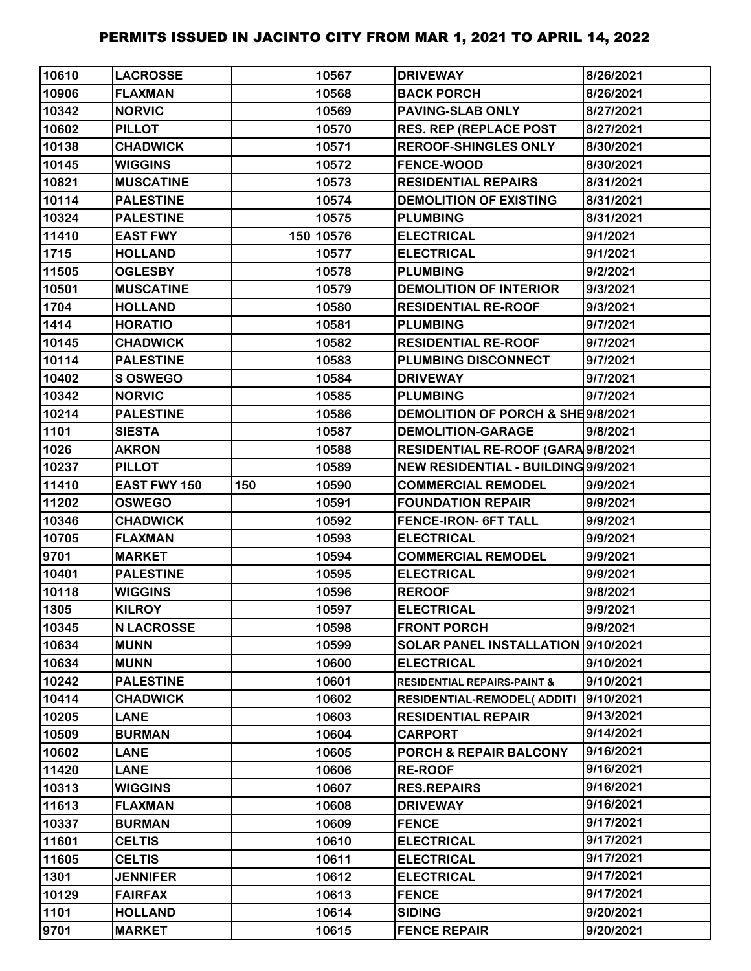| 10610 | <b>LACROSSE</b>     |     | 10567     | <b>DRIVEWAY</b>                        | 8/26/2021 |
|-------|---------------------|-----|-----------|----------------------------------------|-----------|
| 10906 | <b>FLAXMAN</b>      |     | 10568     | <b>BACK PORCH</b>                      | 8/26/2021 |
| 10342 | <b>NORVIC</b>       |     | 10569     | <b>PAVING-SLAB ONLY</b>                | 8/27/2021 |
| 10602 | <b>PILLOT</b>       |     | 10570     | <b>RES. REP (REPLACE POST</b>          | 8/27/2021 |
| 10138 | <b>CHADWICK</b>     |     | 10571     | <b>REROOF-SHINGLES ONLY</b>            | 8/30/2021 |
| 10145 | <b>WIGGINS</b>      |     | 10572     | <b>FENCE-WOOD</b>                      | 8/30/2021 |
| 10821 | <b>MUSCATINE</b>    |     | 10573     | <b>RESIDENTIAL REPAIRS</b>             | 8/31/2021 |
| 10114 | <b>PALESTINE</b>    |     | 10574     | <b>DEMOLITION OF EXISTING</b>          | 8/31/2021 |
| 10324 | <b>PALESTINE</b>    |     | 10575     | <b>PLUMBING</b>                        | 8/31/2021 |
| 11410 | <b>EAST FWY</b>     |     | 150 10576 | <b>ELECTRICAL</b>                      | 9/1/2021  |
| 1715  | <b>HOLLAND</b>      |     | 10577     | <b>ELECTRICAL</b>                      | 9/1/2021  |
| 11505 | <b>OGLESBY</b>      |     | 10578     | <b>PLUMBING</b>                        | 9/2/2021  |
| 10501 | <b>MUSCATINE</b>    |     | 10579     | <b>DEMOLITION OF INTERIOR</b>          | 9/3/2021  |
| 1704  | <b>HOLLAND</b>      |     | 10580     | <b>RESIDENTIAL RE-ROOF</b>             | 9/3/2021  |
| 1414  | <b>HORATIO</b>      |     | 10581     | <b>PLUMBING</b>                        | 9/7/2021  |
| 10145 | <b>CHADWICK</b>     |     | 10582     | <b>RESIDENTIAL RE-ROOF</b>             | 9/7/2021  |
| 10114 | <b>PALESTINE</b>    |     | 10583     | <b>PLUMBING DISCONNECT</b>             | 9/7/2021  |
| 10402 | S OSWEGO            |     | 10584     | <b>DRIVEWAY</b>                        | 9/7/2021  |
| 10342 | <b>NORVIC</b>       |     | 10585     | <b>PLUMBING</b>                        | 9/7/2021  |
| 10214 | <b>PALESTINE</b>    |     | 10586     | DEMOLITION OF PORCH & SHE9/8/2021      |           |
| 1101  | <b>SIESTA</b>       |     | 10587     | <b>DEMOLITION-GARAGE</b>               | 9/8/2021  |
| 1026  | <b>AKRON</b>        |     | 10588     | RESIDENTIAL RE-ROOF (GARA 9/8/2021     |           |
| 10237 | <b>PILLOT</b>       |     | 10589     | NEW RESIDENTIAL - BUILDING 9/9/2021    |           |
| 11410 | <b>EAST FWY 150</b> | 150 | 10590     | <b>COMMERCIAL REMODEL</b>              | 9/9/2021  |
| 11202 | <b>OSWEGO</b>       |     | 10591     | <b>FOUNDATION REPAIR</b>               | 9/9/2021  |
| 10346 | <b>CHADWICK</b>     |     | 10592     | <b>FENCE-IRON- 6FT TALL</b>            | 9/9/2021  |
| 10705 | <b>FLAXMAN</b>      |     | 10593     | <b>ELECTRICAL</b>                      | 9/9/2021  |
| 9701  | <b>MARKET</b>       |     | 10594     | <b>COMMERCIAL REMODEL</b>              | 9/9/2021  |
| 10401 | <b>PALESTINE</b>    |     | 10595     | <b>ELECTRICAL</b>                      | 9/9/2021  |
| 10118 | <b>WIGGINS</b>      |     | 10596     | <b>REROOF</b>                          | 9/8/2021  |
| 1305  | <b>KILROY</b>       |     | 10597     | <b>ELECTRICAL</b>                      | 9/9/2021  |
| 10345 | <b>N LACROSSE</b>   |     | 10598     | <b>FRONT PORCH</b>                     | 9/9/2021  |
| 10634 | <b>MUNN</b>         |     | 10599     | SOLAR PANEL INSTALLATION 9/10/2021     |           |
| 10634 | <b>MUNN</b>         |     | 10600     | <b>ELECTRICAL</b>                      | 9/10/2021 |
| 10242 | <b>PALESTINE</b>    |     | 10601     | <b>RESIDENTIAL REPAIRS-PAINT &amp;</b> | 9/10/2021 |
| 10414 | <b>CHADWICK</b>     |     | 10602     | <b>RESIDENTIAL-REMODEL( ADDITI</b>     | 9/10/2021 |
| 10205 | <b>LANE</b>         |     | 10603     | <b>RESIDENTIAL REPAIR</b>              | 9/13/2021 |
| 10509 | <b>BURMAN</b>       |     | 10604     | <b>CARPORT</b>                         | 9/14/2021 |
| 10602 | <b>LANE</b>         |     | 10605     | <b>PORCH &amp; REPAIR BALCONY</b>      | 9/16/2021 |
| 11420 | <b>LANE</b>         |     | 10606     | <b>RE-ROOF</b>                         | 9/16/2021 |
| 10313 | <b>WIGGINS</b>      |     | 10607     | <b>RES.REPAIRS</b>                     | 9/16/2021 |
| 11613 | <b>FLAXMAN</b>      |     | 10608     | <b>DRIVEWAY</b>                        | 9/16/2021 |
| 10337 | <b>BURMAN</b>       |     | 10609     | <b>FENCE</b>                           | 9/17/2021 |
| 11601 | <b>CELTIS</b>       |     | 10610     | <b>ELECTRICAL</b>                      | 9/17/2021 |
| 11605 | <b>CELTIS</b>       |     | 10611     | <b>ELECTRICAL</b>                      | 9/17/2021 |
| 1301  | <b>JENNIFER</b>     |     | 10612     | <b>ELECTRICAL</b>                      | 9/17/2021 |
| 10129 | <b>FAIRFAX</b>      |     | 10613     | <b>FENCE</b>                           | 9/17/2021 |
| 1101  | <b>HOLLAND</b>      |     | 10614     | <b>SIDING</b>                          | 9/20/2021 |
| 9701  | <b>MARKET</b>       |     | 10615     | <b>FENCE REPAIR</b>                    | 9/20/2021 |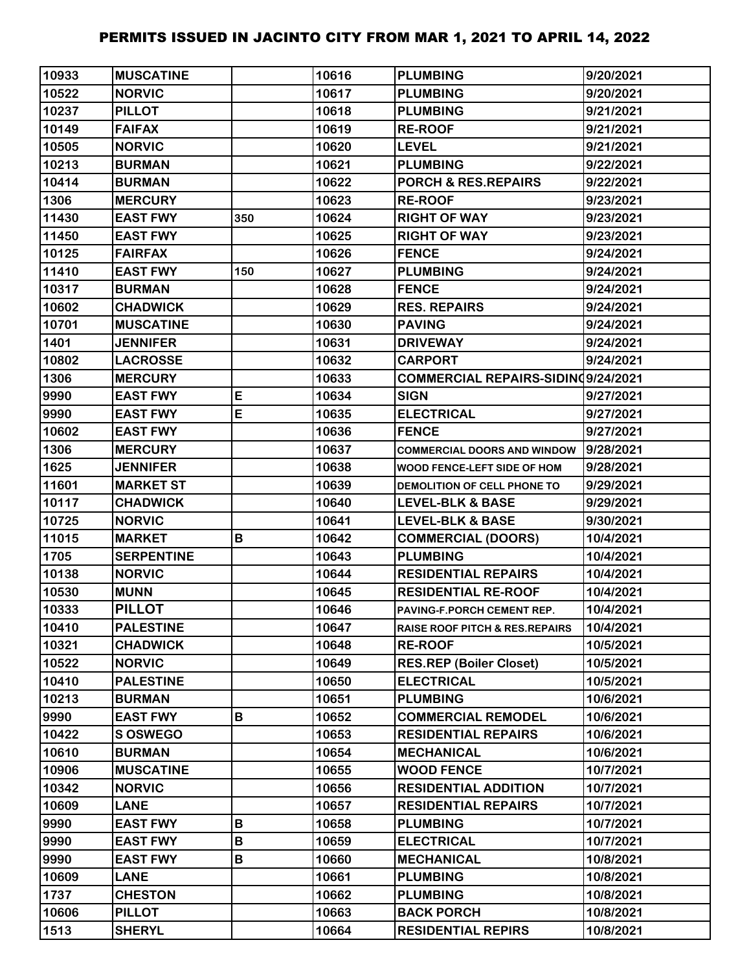| 10933 | <b>MUSCATINE</b>  |     | 10616 | <b>PLUMBING</b>                           | 9/20/2021 |
|-------|-------------------|-----|-------|-------------------------------------------|-----------|
| 10522 | <b>NORVIC</b>     |     | 10617 | <b>PLUMBING</b>                           | 9/20/2021 |
| 10237 | <b>PILLOT</b>     |     | 10618 | <b>PLUMBING</b>                           | 9/21/2021 |
| 10149 | <b>FAIFAX</b>     |     | 10619 | <b>RE-ROOF</b>                            | 9/21/2021 |
| 10505 | <b>NORVIC</b>     |     | 10620 | <b>LEVEL</b>                              | 9/21/2021 |
| 10213 | <b>BURMAN</b>     |     | 10621 | <b>PLUMBING</b>                           | 9/22/2021 |
| 10414 | <b>BURMAN</b>     |     | 10622 | <b>PORCH &amp; RES.REPAIRS</b>            | 9/22/2021 |
| 1306  | <b>MERCURY</b>    |     | 10623 | <b>RE-ROOF</b>                            | 9/23/2021 |
| 11430 | <b>EAST FWY</b>   | 350 | 10624 | <b>RIGHT OF WAY</b>                       | 9/23/2021 |
| 11450 | <b>EAST FWY</b>   |     | 10625 | <b>RIGHT OF WAY</b>                       | 9/23/2021 |
| 10125 | <b>FAIRFAX</b>    |     | 10626 | <b>FENCE</b>                              | 9/24/2021 |
| 11410 | <b>EAST FWY</b>   | 150 | 10627 | <b>PLUMBING</b>                           | 9/24/2021 |
| 10317 | <b>BURMAN</b>     |     | 10628 | <b>FENCE</b>                              | 9/24/2021 |
| 10602 | <b>CHADWICK</b>   |     | 10629 | <b>RES. REPAIRS</b>                       | 9/24/2021 |
| 10701 | <b>MUSCATINE</b>  |     | 10630 | <b>PAVING</b>                             | 9/24/2021 |
| 1401  | <b>JENNIFER</b>   |     | 10631 | <b>DRIVEWAY</b>                           | 9/24/2021 |
| 10802 | <b>LACROSSE</b>   |     | 10632 | <b>CARPORT</b>                            | 9/24/2021 |
| 1306  | <b>MERCURY</b>    |     | 10633 | COMMERCIAL REPAIRS-SIDINQ9/24/2021        |           |
| 9990  | <b>EAST FWY</b>   | E   | 10634 | <b>SIGN</b>                               | 9/27/2021 |
| 9990  | <b>EAST FWY</b>   | E   | 10635 | <b>ELECTRICAL</b>                         | 9/27/2021 |
| 10602 | <b>EAST FWY</b>   |     | 10636 | <b>FENCE</b>                              | 9/27/2021 |
| 1306  | <b>MERCURY</b>    |     | 10637 | <b>COMMERCIAL DOORS AND WINDOW</b>        | 9/28/2021 |
| 1625  | <b>JENNIFER</b>   |     | 10638 | WOOD FENCE-LEFT SIDE OF HOM               | 9/28/2021 |
| 11601 | <b>MARKET ST</b>  |     | 10639 | <b>DEMOLITION OF CELL PHONE TO</b>        | 9/29/2021 |
| 10117 | <b>CHADWICK</b>   |     | 10640 | LEVEL-BLK & BASE                          | 9/29/2021 |
| 10725 | <b>NORVIC</b>     |     | 10641 | <b>LEVEL-BLK &amp; BASE</b>               | 9/30/2021 |
| 11015 | <b>MARKET</b>     | В   | 10642 | <b>COMMERCIAL (DOORS)</b>                 | 10/4/2021 |
| 1705  | <b>SERPENTINE</b> |     | 10643 | <b>PLUMBING</b>                           | 10/4/2021 |
| 10138 | <b>NORVIC</b>     |     | 10644 | <b>RESIDENTIAL REPAIRS</b>                | 10/4/2021 |
| 10530 | <b>MUNN</b>       |     | 10645 | <b>RESIDENTIAL RE-ROOF</b>                | 10/4/2021 |
| 10333 | <b>PILLOT</b>     |     | 10646 | PAVING-F.PORCH CEMENT REP.                | 10/4/2021 |
| 10410 | <b>PALESTINE</b>  |     | 10647 | <b>RAISE ROOF PITCH &amp; RES.REPAIRS</b> | 10/4/2021 |
| 10321 | <b>CHADWICK</b>   |     | 10648 | <b>RE-ROOF</b>                            | 10/5/2021 |
| 10522 | <b>NORVIC</b>     |     | 10649 | <b>RES.REP (Boiler Closet)</b>            | 10/5/2021 |
| 10410 | <b>PALESTINE</b>  |     | 10650 | <b>ELECTRICAL</b>                         | 10/5/2021 |
| 10213 | <b>BURMAN</b>     |     | 10651 | <b>PLUMBING</b>                           | 10/6/2021 |
| 9990  | <b>EAST FWY</b>   | В   | 10652 | <b>COMMERCIAL REMODEL</b>                 | 10/6/2021 |
| 10422 | <b>SOSWEGO</b>    |     | 10653 | <b>RESIDENTIAL REPAIRS</b>                | 10/6/2021 |
| 10610 | <b>BURMAN</b>     |     | 10654 | <b>MECHANICAL</b>                         | 10/6/2021 |
| 10906 | <b>MUSCATINE</b>  |     | 10655 | <b>WOOD FENCE</b>                         | 10/7/2021 |
| 10342 | <b>NORVIC</b>     |     | 10656 | <b>RESIDENTIAL ADDITION</b>               | 10/7/2021 |
| 10609 | <b>LANE</b>       |     | 10657 | <b>RESIDENTIAL REPAIRS</b>                | 10/7/2021 |
| 9990  | <b>EAST FWY</b>   | B   | 10658 | <b>PLUMBING</b>                           | 10/7/2021 |
| 9990  | <b>EAST FWY</b>   | B   | 10659 | <b>ELECTRICAL</b>                         | 10/7/2021 |
| 9990  | <b>EAST FWY</b>   | В   | 10660 | <b>MECHANICAL</b>                         | 10/8/2021 |
| 10609 | <b>LANE</b>       |     | 10661 | <b>PLUMBING</b>                           | 10/8/2021 |
| 1737  | <b>CHESTON</b>    |     | 10662 | <b>PLUMBING</b>                           | 10/8/2021 |
| 10606 | <b>PILLOT</b>     |     | 10663 | <b>BACK PORCH</b>                         | 10/8/2021 |
| 1513  | <b>SHERYL</b>     |     | 10664 | <b>RESIDENTIAL REPIRS</b>                 | 10/8/2021 |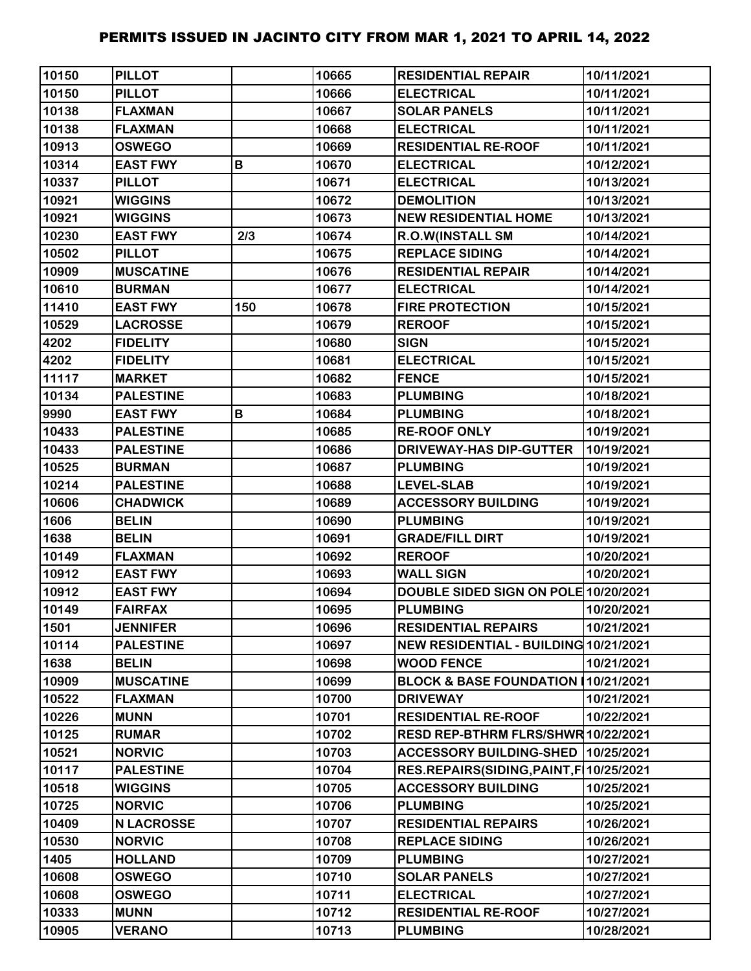| 10150 | <b>PILLOT</b>     |     | 10665 | <b>RESIDENTIAL REPAIR</b>                 | 10/11/2021 |
|-------|-------------------|-----|-------|-------------------------------------------|------------|
| 10150 | <b>PILLOT</b>     |     | 10666 | <b>ELECTRICAL</b>                         | 10/11/2021 |
| 10138 | <b>FLAXMAN</b>    |     | 10667 | <b>SOLAR PANELS</b>                       | 10/11/2021 |
| 10138 | <b>FLAXMAN</b>    |     | 10668 | <b>ELECTRICAL</b>                         | 10/11/2021 |
| 10913 | <b>OSWEGO</b>     |     | 10669 | <b>RESIDENTIAL RE-ROOF</b>                | 10/11/2021 |
| 10314 | <b>EAST FWY</b>   | В   | 10670 | <b>ELECTRICAL</b>                         | 10/12/2021 |
| 10337 | <b>PILLOT</b>     |     | 10671 | <b>ELECTRICAL</b>                         | 10/13/2021 |
| 10921 | <b>WIGGINS</b>    |     | 10672 | <b>DEMOLITION</b>                         | 10/13/2021 |
| 10921 | <b>WIGGINS</b>    |     | 10673 | <b>NEW RESIDENTIAL HOME</b>               | 10/13/2021 |
| 10230 | <b>EAST FWY</b>   | 2/3 | 10674 | <b>R.O.W(INSTALL SM</b>                   | 10/14/2021 |
| 10502 | <b>PILLOT</b>     |     | 10675 | <b>REPLACE SIDING</b>                     | 10/14/2021 |
| 10909 | <b>MUSCATINE</b>  |     | 10676 | <b>RESIDENTIAL REPAIR</b>                 | 10/14/2021 |
| 10610 | <b>BURMAN</b>     |     | 10677 | <b>ELECTRICAL</b>                         | 10/14/2021 |
| 11410 | <b>EAST FWY</b>   | 150 | 10678 | <b>FIRE PROTECTION</b>                    | 10/15/2021 |
| 10529 | <b>LACROSSE</b>   |     | 10679 | <b>REROOF</b>                             | 10/15/2021 |
| 4202  | <b>FIDELITY</b>   |     | 10680 | <b>SIGN</b>                               | 10/15/2021 |
| 4202  | <b>FIDELITY</b>   |     | 10681 | <b>ELECTRICAL</b>                         | 10/15/2021 |
| 11117 | <b>MARKET</b>     |     | 10682 | <b>FENCE</b>                              | 10/15/2021 |
| 10134 | <b>PALESTINE</b>  |     | 10683 | <b>PLUMBING</b>                           | 10/18/2021 |
| 9990  | <b>EAST FWY</b>   | В   | 10684 | <b>PLUMBING</b>                           | 10/18/2021 |
| 10433 | <b>PALESTINE</b>  |     | 10685 | <b>RE-ROOF ONLY</b>                       | 10/19/2021 |
| 10433 | <b>PALESTINE</b>  |     | 10686 | <b>DRIVEWAY-HAS DIP-GUTTER</b>            | 10/19/2021 |
| 10525 | <b>BURMAN</b>     |     | 10687 | <b>PLUMBING</b>                           | 10/19/2021 |
| 10214 | <b>PALESTINE</b>  |     | 10688 | <b>LEVEL-SLAB</b>                         | 10/19/2021 |
| 10606 | <b>CHADWICK</b>   |     | 10689 | <b>ACCESSORY BUILDING</b>                 | 10/19/2021 |
| 1606  | <b>BELIN</b>      |     | 10690 | <b>PLUMBING</b>                           | 10/19/2021 |
| 1638  | <b>BELIN</b>      |     | 10691 | <b>GRADE/FILL DIRT</b>                    | 10/19/2021 |
| 10149 | <b>FLAXMAN</b>    |     | 10692 | <b>REROOF</b>                             | 10/20/2021 |
| 10912 | <b>EAST FWY</b>   |     | 10693 | <b>WALL SIGN</b>                          | 10/20/2021 |
| 10912 | <b>EAST FWY</b>   |     | 10694 | DOUBLE SIDED SIGN ON POLE 10/20/2021      |            |
| 10149 | <b>FAIRFAX</b>    |     | 10695 | <b>PLUMBING</b>                           | 10/20/2021 |
| 1501  | <b>JENNIFER</b>   |     | 10696 | <b>RESIDENTIAL REPAIRS</b>                | 10/21/2021 |
| 10114 | <b>PALESTINE</b>  |     | 10697 | NEW RESIDENTIAL - BUILDING 10/21/2021     |            |
| 1638  | <b>BELIN</b>      |     | 10698 | <b>WOOD FENCE</b>                         | 10/21/2021 |
| 10909 | <b>MUSCATINE</b>  |     | 10699 | BLOCK & BASE FOUNDATION 10/21/2021        |            |
| 10522 | <b>FLAXMAN</b>    |     | 10700 | <b>DRIVEWAY</b>                           | 10/21/2021 |
| 10226 | <b>MUNN</b>       |     | 10701 | <b>RESIDENTIAL RE-ROOF</b>                | 10/22/2021 |
| 10125 | <b>RUMAR</b>      |     | 10702 | RESD REP-BTHRM FLRS/SHWR 10/22/2021       |            |
| 10521 | <b>NORVIC</b>     |     | 10703 | <b>ACCESSORY BUILDING-SHED</b>            | 10/25/2021 |
| 10117 | <b>PALESTINE</b>  |     | 10704 | RES.REPAIRS(SIDING, PAINT, F   10/25/2021 |            |
| 10518 | <b>WIGGINS</b>    |     | 10705 | <b>ACCESSORY BUILDING</b>                 | 10/25/2021 |
| 10725 | <b>NORVIC</b>     |     | 10706 | <b>PLUMBING</b>                           | 10/25/2021 |
| 10409 | <b>N LACROSSE</b> |     | 10707 | <b>RESIDENTIAL REPAIRS</b>                | 10/26/2021 |
| 10530 | <b>NORVIC</b>     |     | 10708 | <b>REPLACE SIDING</b>                     | 10/26/2021 |
| 1405  | <b>HOLLAND</b>    |     | 10709 | <b>PLUMBING</b>                           | 10/27/2021 |
| 10608 | <b>OSWEGO</b>     |     | 10710 | <b>SOLAR PANELS</b>                       | 10/27/2021 |
| 10608 | <b>OSWEGO</b>     |     | 10711 | <b>ELECTRICAL</b>                         | 10/27/2021 |
| 10333 | <b>MUNN</b>       |     | 10712 | <b>RESIDENTIAL RE-ROOF</b>                | 10/27/2021 |
| 10905 | <b>VERANO</b>     |     | 10713 | <b>PLUMBING</b>                           | 10/28/2021 |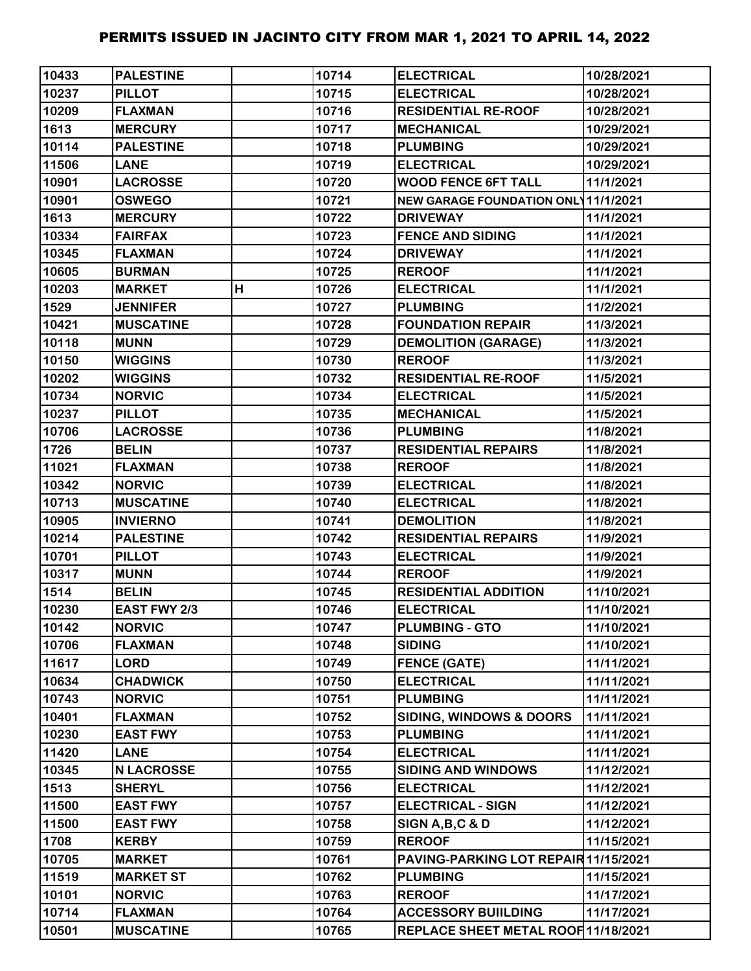| 10433 | <b>PALESTINE</b>  |   | 10714 | <b>ELECTRICAL</b>                          | 10/28/2021 |
|-------|-------------------|---|-------|--------------------------------------------|------------|
| 10237 | <b>PILLOT</b>     |   | 10715 | <b>ELECTRICAL</b>                          | 10/28/2021 |
| 10209 | <b>FLAXMAN</b>    |   | 10716 | <b>RESIDENTIAL RE-ROOF</b>                 | 10/28/2021 |
| 1613  | <b>MERCURY</b>    |   | 10717 | <b>MECHANICAL</b>                          | 10/29/2021 |
| 10114 | <b>PALESTINE</b>  |   | 10718 | <b>PLUMBING</b>                            | 10/29/2021 |
| 11506 | <b>LANE</b>       |   | 10719 | <b>ELECTRICAL</b>                          | 10/29/2021 |
| 10901 | <b>LACROSSE</b>   |   | 10720 | <b>WOOD FENCE 6FT TALL</b>                 | 11/1/2021  |
| 10901 | <b>OSWEGO</b>     |   | 10721 | <b>NEW GARAGE FOUNDATION ONL 11/1/2021</b> |            |
| 1613  | <b>MERCURY</b>    |   | 10722 | <b>DRIVEWAY</b>                            | 11/1/2021  |
| 10334 | <b>FAIRFAX</b>    |   | 10723 | <b>FENCE AND SIDING</b>                    | 11/1/2021  |
| 10345 | <b>FLAXMAN</b>    |   | 10724 | <b>DRIVEWAY</b>                            | 11/1/2021  |
| 10605 | <b>BURMAN</b>     |   | 10725 | <b>REROOF</b>                              | 11/1/2021  |
| 10203 | <b>MARKET</b>     | H | 10726 | <b>ELECTRICAL</b>                          | 11/1/2021  |
| 1529  | <b>JENNIFER</b>   |   | 10727 | <b>PLUMBING</b>                            | 11/2/2021  |
| 10421 | <b>MUSCATINE</b>  |   | 10728 | <b>FOUNDATION REPAIR</b>                   | 11/3/2021  |
| 10118 | <b>MUNN</b>       |   | 10729 | <b>DEMOLITION (GARAGE)</b>                 | 11/3/2021  |
| 10150 | <b>WIGGINS</b>    |   | 10730 | <b>REROOF</b>                              | 11/3/2021  |
| 10202 | <b>WIGGINS</b>    |   | 10732 | <b>RESIDENTIAL RE-ROOF</b>                 | 11/5/2021  |
| 10734 | <b>NORVIC</b>     |   | 10734 | <b>ELECTRICAL</b>                          | 11/5/2021  |
| 10237 | <b>PILLOT</b>     |   | 10735 | <b>MECHANICAL</b>                          | 11/5/2021  |
| 10706 | <b>LACROSSE</b>   |   | 10736 | <b>PLUMBING</b>                            | 11/8/2021  |
| 1726  | <b>BELIN</b>      |   | 10737 | <b>RESIDENTIAL REPAIRS</b>                 | 11/8/2021  |
| 11021 | <b>FLAXMAN</b>    |   | 10738 | <b>REROOF</b>                              | 11/8/2021  |
| 10342 | <b>NORVIC</b>     |   | 10739 | <b>ELECTRICAL</b>                          | 11/8/2021  |
| 10713 | <b>MUSCATINE</b>  |   | 10740 | <b>ELECTRICAL</b>                          | 11/8/2021  |
| 10905 | <b>INVIERNO</b>   |   | 10741 | <b>DEMOLITION</b>                          | 11/8/2021  |
| 10214 | <b>PALESTINE</b>  |   | 10742 | <b>RESIDENTIAL REPAIRS</b>                 | 11/9/2021  |
| 10701 | <b>PILLOT</b>     |   | 10743 | <b>ELECTRICAL</b>                          | 11/9/2021  |
| 10317 | <b>MUNN</b>       |   | 10744 | <b>REROOF</b>                              | 11/9/2021  |
| 1514  | <b>BELIN</b>      |   | 10745 | <b>RESIDENTIAL ADDITION</b>                | 11/10/2021 |
| 10230 | EAST FWY 2/3      |   | 10746 | <b>ELECTRICAL</b>                          | 11/10/2021 |
| 10142 | <b>NORVIC</b>     |   | 10747 | <b>PLUMBING - GTO</b>                      | 11/10/2021 |
| 10706 | <b>FLAXMAN</b>    |   | 10748 | <b>SIDING</b>                              | 11/10/2021 |
| 11617 | <b>LORD</b>       |   | 10749 | <b>FENCE (GATE)</b>                        | 11/11/2021 |
| 10634 | <b>CHADWICK</b>   |   | 10750 | <b>ELECTRICAL</b>                          | 11/11/2021 |
| 10743 | <b>NORVIC</b>     |   | 10751 | <b>PLUMBING</b>                            | 11/11/2021 |
| 10401 | <b>FLAXMAN</b>    |   | 10752 | <b>SIDING, WINDOWS &amp; DOORS</b>         | 11/11/2021 |
| 10230 | <b>EAST FWY</b>   |   | 10753 | <b>PLUMBING</b>                            | 11/11/2021 |
| 11420 | <b>LANE</b>       |   | 10754 | <b>ELECTRICAL</b>                          | 11/11/2021 |
| 10345 | <b>N LACROSSE</b> |   | 10755 | <b>SIDING AND WINDOWS</b>                  | 11/12/2021 |
| 1513  | <b>SHERYL</b>     |   | 10756 | <b>ELECTRICAL</b>                          | 11/12/2021 |
| 11500 | <b>EAST FWY</b>   |   | 10757 | <b>ELECTRICAL - SIGN</b>                   | 11/12/2021 |
| 11500 | <b>EAST FWY</b>   |   | 10758 | SIGN A, B, C & D                           | 11/12/2021 |
| 1708  | <b>KERBY</b>      |   | 10759 | <b>REROOF</b>                              | 11/15/2021 |
| 10705 | <b>MARKET</b>     |   | 10761 | PAVING-PARKING LOT REPAIR 11/15/2021       |            |
| 11519 | <b>MARKET ST</b>  |   | 10762 | <b>PLUMBING</b>                            | 11/15/2021 |
| 10101 | <b>NORVIC</b>     |   | 10763 | <b>REROOF</b>                              | 11/17/2021 |
| 10714 | <b>FLAXMAN</b>    |   | 10764 | <b>ACCESSORY BUILDING</b>                  | 11/17/2021 |
| 10501 | <b>MUSCATINE</b>  |   | 10765 | REPLACE SHEET METAL ROOF 11/18/2021        |            |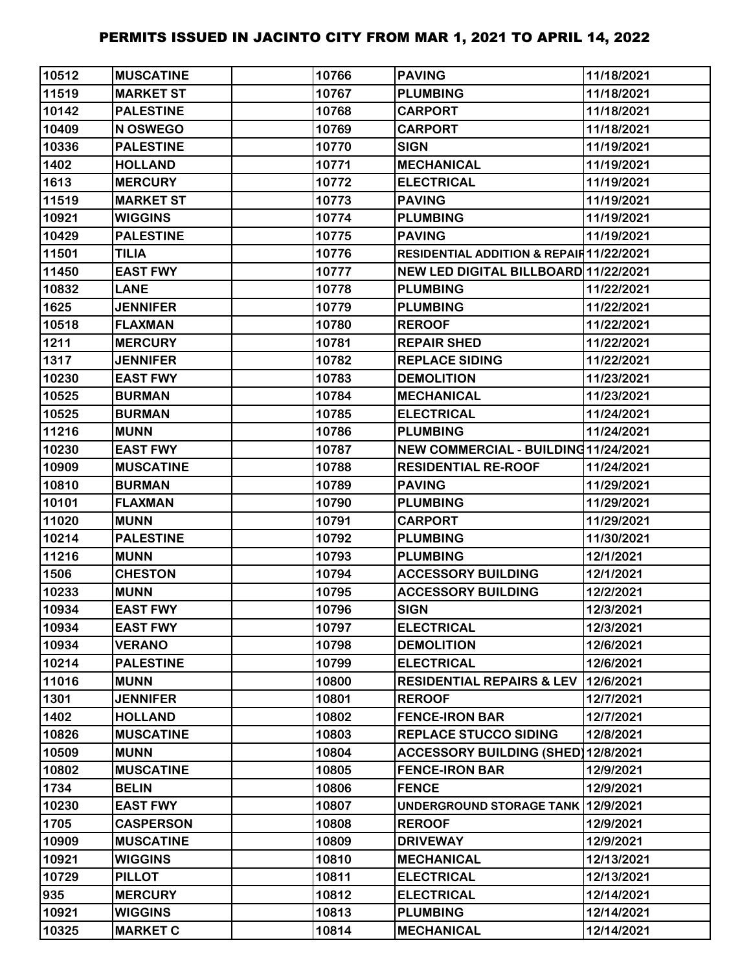| 10512 | <b>MUSCATINE</b> | 10766 | <b>PAVING</b>                            | 11/18/2021 |
|-------|------------------|-------|------------------------------------------|------------|
| 11519 | <b>MARKET ST</b> | 10767 | <b>PLUMBING</b>                          | 11/18/2021 |
| 10142 | <b>PALESTINE</b> | 10768 | <b>CARPORT</b>                           | 11/18/2021 |
| 10409 | N OSWEGO         | 10769 | <b>CARPORT</b>                           | 11/18/2021 |
| 10336 | <b>PALESTINE</b> | 10770 | <b>SIGN</b>                              | 11/19/2021 |
| 1402  | <b>HOLLAND</b>   | 10771 | <b>MECHANICAL</b>                        | 11/19/2021 |
| 1613  | <b>MERCURY</b>   | 10772 | <b>ELECTRICAL</b>                        | 11/19/2021 |
| 11519 | <b>MARKET ST</b> | 10773 | <b>PAVING</b>                            | 11/19/2021 |
| 10921 | <b>WIGGINS</b>   | 10774 | <b>PLUMBING</b>                          | 11/19/2021 |
| 10429 | <b>PALESTINE</b> | 10775 | <b>PAVING</b>                            | 11/19/2021 |
| 11501 | <b>TILIA</b>     | 10776 | RESIDENTIAL ADDITION & REPAIR 11/22/2021 |            |
| 11450 | <b>EAST FWY</b>  | 10777 | NEW LED DIGITAL BILLBOARD 11/22/2021     |            |
| 10832 | <b>LANE</b>      | 10778 | <b>PLUMBING</b>                          | 11/22/2021 |
| 1625  | <b>JENNIFER</b>  | 10779 | <b>PLUMBING</b>                          | 11/22/2021 |
| 10518 | <b>FLAXMAN</b>   | 10780 | <b>REROOF</b>                            | 11/22/2021 |
| 1211  | <b>MERCURY</b>   | 10781 | <b>REPAIR SHED</b>                       | 11/22/2021 |
| 1317  | <b>JENNIFER</b>  | 10782 | <b>REPLACE SIDING</b>                    | 11/22/2021 |
| 10230 | <b>EAST FWY</b>  | 10783 | <b>DEMOLITION</b>                        | 11/23/2021 |
| 10525 | <b>BURMAN</b>    | 10784 | <b>MECHANICAL</b>                        | 11/23/2021 |
| 10525 | <b>BURMAN</b>    | 10785 | <b>ELECTRICAL</b>                        | 11/24/2021 |
| 11216 | <b>MUNN</b>      | 10786 | <b>PLUMBING</b>                          | 11/24/2021 |
| 10230 | <b>EAST FWY</b>  | 10787 | NEW COMMERCIAL - BUILDING11/24/2021      |            |
| 10909 | <b>MUSCATINE</b> | 10788 | <b>RESIDENTIAL RE-ROOF</b>               | 11/24/2021 |
| 10810 | <b>BURMAN</b>    | 10789 | <b>PAVING</b>                            | 11/29/2021 |
| 10101 | <b>FLAXMAN</b>   | 10790 | <b>PLUMBING</b>                          | 11/29/2021 |
| 11020 | <b>MUNN</b>      | 10791 | <b>CARPORT</b>                           | 11/29/2021 |
| 10214 | <b>PALESTINE</b> | 10792 | <b>PLUMBING</b>                          | 11/30/2021 |
| 11216 | <b>MUNN</b>      | 10793 | <b>PLUMBING</b>                          | 12/1/2021  |
| 1506  | <b>CHESTON</b>   | 10794 | <b>ACCESSORY BUILDING</b>                | 12/1/2021  |
| 10233 | <b>MUNN</b>      | 10795 | <b>ACCESSORY BUILDING</b>                | 12/2/2021  |
| 10934 | <b>EAST FWY</b>  | 10796 | <b>SIGN</b>                              | 12/3/2021  |
| 10934 | <b>EAST FWY</b>  | 10797 | <b>ELECTRICAL</b>                        | 12/3/2021  |
| 10934 | <b>VERANO</b>    | 10798 | <b>DEMOLITION</b>                        | 12/6/2021  |
| 10214 | <b>PALESTINE</b> | 10799 | <b>ELECTRICAL</b>                        | 12/6/2021  |
| 11016 | <b>MUNN</b>      | 10800 | <b>RESIDENTIAL REPAIRS &amp; LEV</b>     | 12/6/2021  |
| 1301  | <b>JENNIFER</b>  | 10801 | <b>REROOF</b>                            | 12/7/2021  |
| 1402  | <b>HOLLAND</b>   | 10802 | <b>FENCE-IRON BAR</b>                    | 12/7/2021  |
| 10826 | <b>MUSCATINE</b> | 10803 | <b>REPLACE STUCCO SIDING</b>             | 12/8/2021  |
| 10509 | <b>MUNN</b>      | 10804 | ACCESSORY BUILDING (SHED) 12/8/2021      |            |
| 10802 | <b>MUSCATINE</b> | 10805 | <b>FENCE-IRON BAR</b>                    | 12/9/2021  |
| 1734  | <b>BELIN</b>     | 10806 | <b>FENCE</b>                             | 12/9/2021  |
| 10230 | <b>EAST FWY</b>  | 10807 | UNDERGROUND STORAGE TANK 12/9/2021       |            |
| 1705  | <b>CASPERSON</b> | 10808 | <b>REROOF</b>                            | 12/9/2021  |
| 10909 | <b>MUSCATINE</b> | 10809 | <b>DRIVEWAY</b>                          | 12/9/2021  |
| 10921 | <b>WIGGINS</b>   | 10810 | <b>MECHANICAL</b>                        | 12/13/2021 |
| 10729 | <b>PILLOT</b>    | 10811 | <b>ELECTRICAL</b>                        | 12/13/2021 |
| 935   | <b>MERCURY</b>   | 10812 | <b>ELECTRICAL</b>                        | 12/14/2021 |
| 10921 | <b>WIGGINS</b>   | 10813 | <b>PLUMBING</b>                          | 12/14/2021 |
| 10325 | <b>MARKET C</b>  | 10814 | <b>MECHANICAL</b>                        | 12/14/2021 |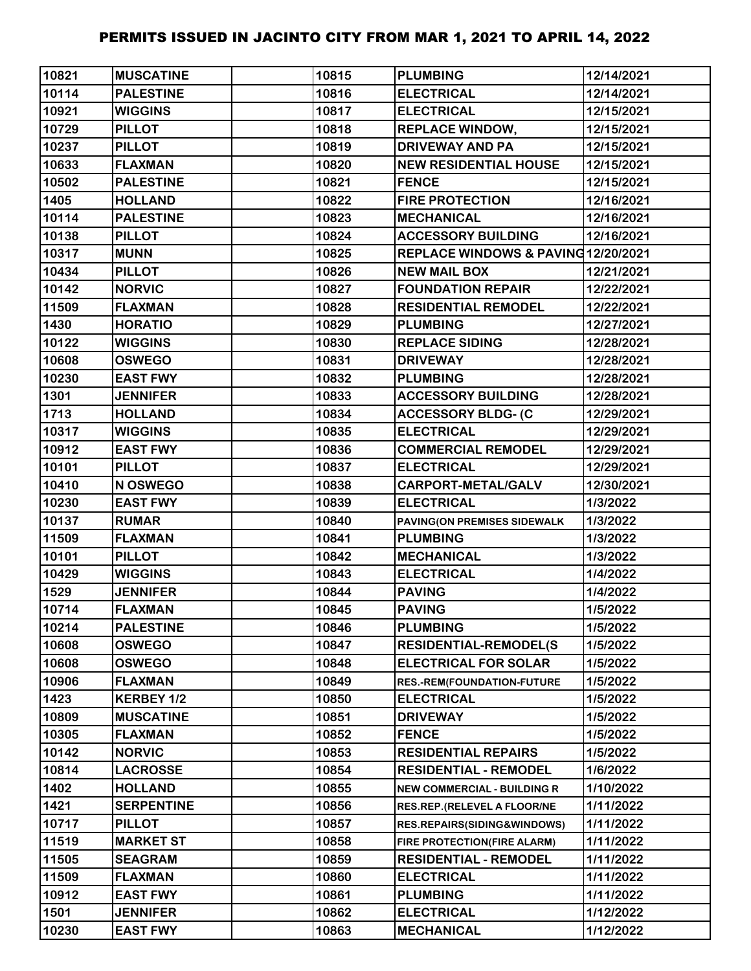| 10821 | <b>MUSCATINE</b>  | 10815 | <b>PLUMBING</b>                     | 12/14/2021 |
|-------|-------------------|-------|-------------------------------------|------------|
| 10114 | <b>PALESTINE</b>  | 10816 | <b>ELECTRICAL</b>                   | 12/14/2021 |
| 10921 | <b>WIGGINS</b>    | 10817 | <b>ELECTRICAL</b>                   | 12/15/2021 |
| 10729 | <b>PILLOT</b>     | 10818 | <b>REPLACE WINDOW,</b>              | 12/15/2021 |
| 10237 | <b>PILLOT</b>     | 10819 | <b>DRIVEWAY AND PA</b>              | 12/15/2021 |
| 10633 | <b>FLAXMAN</b>    | 10820 | <b>NEW RESIDENTIAL HOUSE</b>        | 12/15/2021 |
| 10502 | <b>PALESTINE</b>  | 10821 | <b>FENCE</b>                        | 12/15/2021 |
| 1405  | <b>HOLLAND</b>    | 10822 | <b>FIRE PROTECTION</b>              | 12/16/2021 |
| 10114 | <b>PALESTINE</b>  | 10823 | <b>MECHANICAL</b>                   | 12/16/2021 |
| 10138 | <b>PILLOT</b>     | 10824 | <b>ACCESSORY BUILDING</b>           | 12/16/2021 |
| 10317 | <b>MUNN</b>       | 10825 | REPLACE WINDOWS & PAVING 12/20/2021 |            |
| 10434 | <b>PILLOT</b>     | 10826 | <b>NEW MAIL BOX</b>                 | 12/21/2021 |
| 10142 | <b>NORVIC</b>     | 10827 | <b>FOUNDATION REPAIR</b>            | 12/22/2021 |
| 11509 | <b>FLAXMAN</b>    | 10828 | <b>RESIDENTIAL REMODEL</b>          | 12/22/2021 |
| 1430  | <b>HORATIO</b>    | 10829 | <b>PLUMBING</b>                     | 12/27/2021 |
| 10122 | <b>WIGGINS</b>    | 10830 | <b>REPLACE SIDING</b>               | 12/28/2021 |
| 10608 | <b>OSWEGO</b>     | 10831 | <b>DRIVEWAY</b>                     | 12/28/2021 |
| 10230 | <b>EAST FWY</b>   | 10832 | <b>PLUMBING</b>                     | 12/28/2021 |
| 1301  | <b>JENNIFER</b>   | 10833 | <b>ACCESSORY BUILDING</b>           | 12/28/2021 |
| 1713  | <b>HOLLAND</b>    | 10834 | <b>ACCESSORY BLDG- (C</b>           | 12/29/2021 |
| 10317 | <b>WIGGINS</b>    | 10835 | <b>ELECTRICAL</b>                   | 12/29/2021 |
| 10912 | <b>EAST FWY</b>   | 10836 | <b>COMMERCIAL REMODEL</b>           | 12/29/2021 |
| 10101 | <b>PILLOT</b>     | 10837 | <b>ELECTRICAL</b>                   | 12/29/2021 |
| 10410 | N OSWEGO          | 10838 | CARPORT-METAL/GALV                  | 12/30/2021 |
| 10230 | <b>EAST FWY</b>   | 10839 | <b>ELECTRICAL</b>                   | 1/3/2022   |
| 10137 | <b>RUMAR</b>      | 10840 | PAVING(ON PREMISES SIDEWALK         | 1/3/2022   |
| 11509 | <b>FLAXMAN</b>    | 10841 | <b>PLUMBING</b>                     | 1/3/2022   |
| 10101 | <b>PILLOT</b>     | 10842 | <b>MECHANICAL</b>                   | 1/3/2022   |
| 10429 | <b>WIGGINS</b>    | 10843 | <b>ELECTRICAL</b>                   | 1/4/2022   |
| 1529  | <b>JENNIFER</b>   | 10844 | <b>PAVING</b>                       | 1/4/2022   |
| 10714 | <b>FLAXMAN</b>    | 10845 | <b>PAVING</b>                       | 1/5/2022   |
| 10214 | <b>PALESTINE</b>  | 10846 | <b>PLUMBING</b>                     | 1/5/2022   |
| 10608 | <b>OSWEGO</b>     | 10847 | <b>RESIDENTIAL-REMODEL(S</b>        | 1/5/2022   |
| 10608 | <b>OSWEGO</b>     | 10848 | <b>ELECTRICAL FOR SOLAR</b>         | 1/5/2022   |
| 10906 | <b>FLAXMAN</b>    | 10849 | RES.-REM(FOUNDATION-FUTURE          | 1/5/2022   |
| 1423  | KERBEY 1/2        | 10850 | <b>ELECTRICAL</b>                   | 1/5/2022   |
| 10809 | <b>MUSCATINE</b>  | 10851 | <b>DRIVEWAY</b>                     | 1/5/2022   |
| 10305 | <b>FLAXMAN</b>    | 10852 | <b>FENCE</b>                        | 1/5/2022   |
| 10142 | <b>NORVIC</b>     | 10853 | <b>RESIDENTIAL REPAIRS</b>          | 1/5/2022   |
| 10814 | <b>LACROSSE</b>   | 10854 | <b>RESIDENTIAL - REMODEL</b>        | 1/6/2022   |
| 1402  | <b>HOLLAND</b>    | 10855 | <b>NEW COMMERCIAL - BUILDING R</b>  | 1/10/2022  |
| 1421  | <b>SERPENTINE</b> | 10856 | RES.REP.(RELEVEL A FLOOR/NE         | 1/11/2022  |
| 10717 | <b>PILLOT</b>     | 10857 | RES.REPAIRS(SIDING&WINDOWS)         | 1/11/2022  |
| 11519 | <b>MARKET ST</b>  | 10858 | FIRE PROTECTION(FIRE ALARM)         | 1/11/2022  |
| 11505 | <b>SEAGRAM</b>    | 10859 | <b>RESIDENTIAL - REMODEL</b>        | 1/11/2022  |
| 11509 | <b>FLAXMAN</b>    | 10860 | <b>ELECTRICAL</b>                   | 1/11/2022  |
| 10912 | <b>EAST FWY</b>   | 10861 | <b>PLUMBING</b>                     | 1/11/2022  |
| 1501  | <b>JENNIFER</b>   | 10862 | <b>ELECTRICAL</b>                   | 1/12/2022  |
| 10230 | <b>EAST FWY</b>   | 10863 | <b>MECHANICAL</b>                   | 1/12/2022  |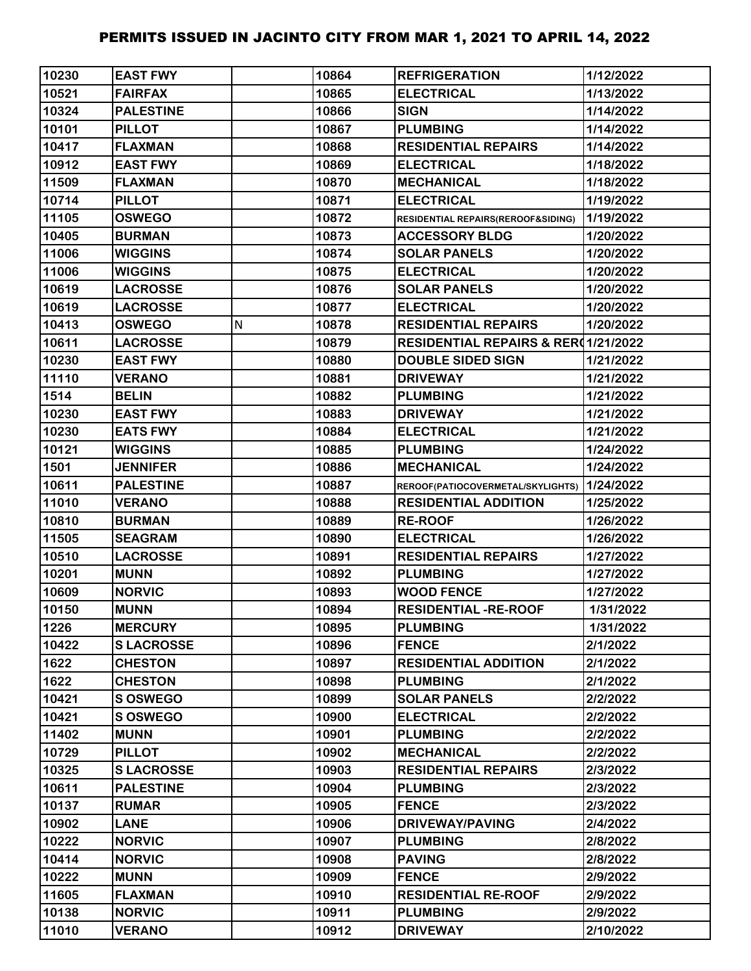| 10230 | <b>EAST FWY</b>  |   | 10864 | <b>REFRIGERATION</b>                | 1/12/2022 |
|-------|------------------|---|-------|-------------------------------------|-----------|
| 10521 | <b>FAIRFAX</b>   |   | 10865 | <b>ELECTRICAL</b>                   | 1/13/2022 |
| 10324 | <b>PALESTINE</b> |   | 10866 | <b>SIGN</b>                         | 1/14/2022 |
| 10101 | <b>PILLOT</b>    |   | 10867 | <b>PLUMBING</b>                     | 1/14/2022 |
| 10417 | <b>FLAXMAN</b>   |   | 10868 | <b>RESIDENTIAL REPAIRS</b>          | 1/14/2022 |
| 10912 | <b>EAST FWY</b>  |   | 10869 | <b>ELECTRICAL</b>                   | 1/18/2022 |
| 11509 | <b>FLAXMAN</b>   |   | 10870 | <b>MECHANICAL</b>                   | 1/18/2022 |
| 10714 | <b>PILLOT</b>    |   | 10871 | <b>ELECTRICAL</b>                   | 1/19/2022 |
| 11105 | <b>OSWEGO</b>    |   | 10872 | RESIDENTIAL REPAIRS(REROOF&SIDING)  | 1/19/2022 |
| 10405 | <b>BURMAN</b>    |   | 10873 | <b>ACCESSORY BLDG</b>               | 1/20/2022 |
| 11006 | <b>WIGGINS</b>   |   | 10874 | <b>SOLAR PANELS</b>                 | 1/20/2022 |
| 11006 | <b>WIGGINS</b>   |   | 10875 | <b>ELECTRICAL</b>                   | 1/20/2022 |
| 10619 | <b>LACROSSE</b>  |   | 10876 | <b>SOLAR PANELS</b>                 | 1/20/2022 |
| 10619 | <b>LACROSSE</b>  |   | 10877 | <b>ELECTRICAL</b>                   | 1/20/2022 |
| 10413 | <b>OSWEGO</b>    | N | 10878 | <b>RESIDENTIAL REPAIRS</b>          | 1/20/2022 |
| 10611 | <b>LACROSSE</b>  |   | 10879 | RESIDENTIAL REPAIRS & RER(1/21/2022 |           |
| 10230 | <b>EAST FWY</b>  |   | 10880 | <b>DOUBLE SIDED SIGN</b>            | 1/21/2022 |
| 11110 | <b>VERANO</b>    |   | 10881 | <b>DRIVEWAY</b>                     | 1/21/2022 |
| 1514  | <b>BELIN</b>     |   | 10882 | <b>PLUMBING</b>                     | 1/21/2022 |
| 10230 | <b>EAST FWY</b>  |   | 10883 | <b>DRIVEWAY</b>                     | 1/21/2022 |
| 10230 | <b>EATS FWY</b>  |   | 10884 | <b>ELECTRICAL</b>                   | 1/21/2022 |
| 10121 | <b>WIGGINS</b>   |   | 10885 | <b>PLUMBING</b>                     | 1/24/2022 |
| 1501  | <b>JENNIFER</b>  |   | 10886 | <b>MECHANICAL</b>                   | 1/24/2022 |
| 10611 | <b>PALESTINE</b> |   | 10887 | REROOF(PATIOCOVERMETAL/SKYLIGHTS)   | 1/24/2022 |
| 11010 | <b>VERANO</b>    |   | 10888 | <b>RESIDENTIAL ADDITION</b>         | 1/25/2022 |
| 10810 | <b>BURMAN</b>    |   | 10889 | <b>RE-ROOF</b>                      | 1/26/2022 |
| 11505 | <b>SEAGRAM</b>   |   | 10890 | <b>ELECTRICAL</b>                   | 1/26/2022 |
| 10510 | <b>LACROSSE</b>  |   | 10891 | <b>RESIDENTIAL REPAIRS</b>          | 1/27/2022 |
| 10201 | <b>MUNN</b>      |   | 10892 | <b>PLUMBING</b>                     | 1/27/2022 |
| 10609 | <b>NORVIC</b>    |   | 10893 | <b>WOOD FENCE</b>                   | 1/27/2022 |
| 10150 | <b>MUNN</b>      |   | 10894 | <b>RESIDENTIAL -RE-ROOF</b>         | 1/31/2022 |
| 1226  | <b>MERCURY</b>   |   | 10895 | <b>PLUMBING</b>                     | 1/31/2022 |
| 10422 | <b>SLACROSSE</b> |   | 10896 | <b>FENCE</b>                        | 2/1/2022  |
| 1622  | <b>CHESTON</b>   |   | 10897 | <b>RESIDENTIAL ADDITION</b>         | 2/1/2022  |
| 1622  | <b>CHESTON</b>   |   | 10898 | <b>PLUMBING</b>                     | 2/1/2022  |
| 10421 | S OSWEGO         |   | 10899 | <b>SOLAR PANELS</b>                 | 2/2/2022  |
| 10421 | <b>S OSWEGO</b>  |   | 10900 | <b>ELECTRICAL</b>                   | 2/2/2022  |
| 11402 | <b>MUNN</b>      |   | 10901 | <b>PLUMBING</b>                     | 2/2/2022  |
| 10729 | <b>PILLOT</b>    |   | 10902 | <b>MECHANICAL</b>                   | 2/2/2022  |
| 10325 | <b>SLACROSSE</b> |   | 10903 | <b>RESIDENTIAL REPAIRS</b>          | 2/3/2022  |
| 10611 | <b>PALESTINE</b> |   | 10904 | <b>PLUMBING</b>                     | 2/3/2022  |
| 10137 | <b>RUMAR</b>     |   | 10905 | <b>FENCE</b>                        | 2/3/2022  |
| 10902 | <b>LANE</b>      |   | 10906 | <b>DRIVEWAY/PAVING</b>              | 2/4/2022  |
| 10222 | <b>NORVIC</b>    |   | 10907 | <b>PLUMBING</b>                     | 2/8/2022  |
| 10414 | <b>NORVIC</b>    |   | 10908 | <b>PAVING</b>                       | 2/8/2022  |
| 10222 | <b>MUNN</b>      |   | 10909 | <b>FENCE</b>                        | 2/9/2022  |
| 11605 | <b>FLAXMAN</b>   |   | 10910 | <b>RESIDENTIAL RE-ROOF</b>          | 2/9/2022  |
| 10138 | <b>NORVIC</b>    |   | 10911 | <b>PLUMBING</b>                     | 2/9/2022  |
| 11010 | <b>VERANO</b>    |   | 10912 | <b>DRIVEWAY</b>                     | 2/10/2022 |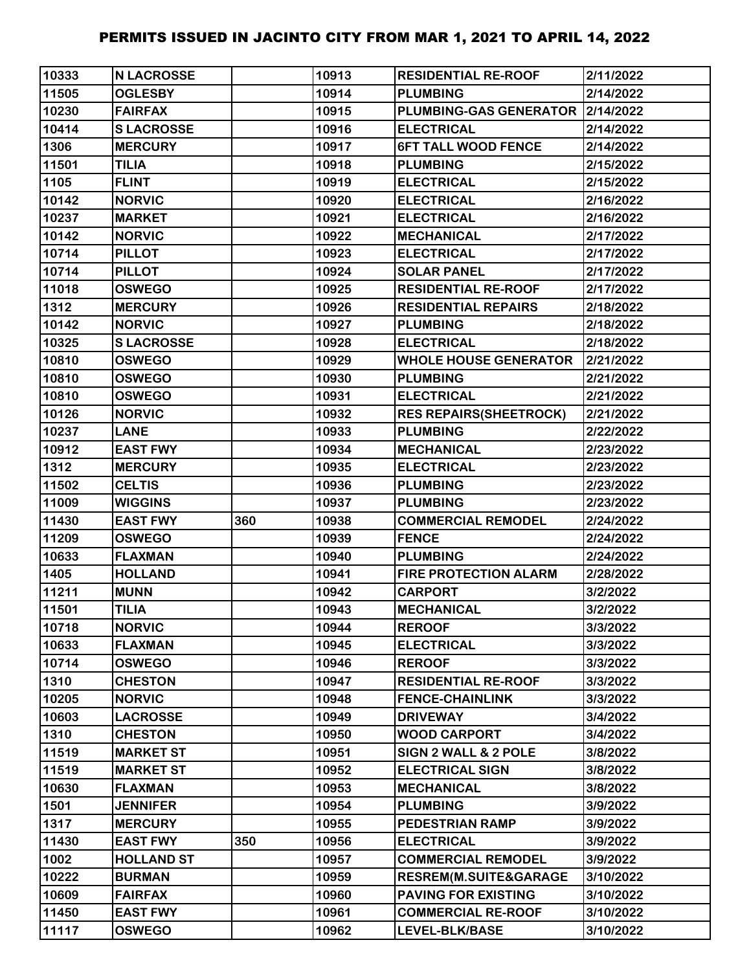| 10333 | <b>N LACROSSE</b> |     | 10913 | <b>RESIDENTIAL RE-ROOF</b>         | 2/11/2022 |
|-------|-------------------|-----|-------|------------------------------------|-----------|
| 11505 | <b>OGLESBY</b>    |     | 10914 | <b>PLUMBING</b>                    | 2/14/2022 |
| 10230 | <b>FAIRFAX</b>    |     | 10915 | PLUMBING-GAS GENERATOR   2/14/2022 |           |
| 10414 | <b>SLACROSSE</b>  |     | 10916 | <b>ELECTRICAL</b>                  | 2/14/2022 |
| 1306  | <b>MERCURY</b>    |     | 10917 | <b>6FT TALL WOOD FENCE</b>         | 2/14/2022 |
| 11501 | <b>TILIA</b>      |     | 10918 | <b>PLUMBING</b>                    | 2/15/2022 |
| 1105  | <b>FLINT</b>      |     | 10919 | <b>ELECTRICAL</b>                  | 2/15/2022 |
| 10142 | <b>NORVIC</b>     |     | 10920 | <b>ELECTRICAL</b>                  | 2/16/2022 |
| 10237 | <b>MARKET</b>     |     | 10921 | <b>ELECTRICAL</b>                  | 2/16/2022 |
| 10142 | <b>NORVIC</b>     |     | 10922 | <b>MECHANICAL</b>                  | 2/17/2022 |
| 10714 | <b>PILLOT</b>     |     | 10923 | <b>ELECTRICAL</b>                  | 2/17/2022 |
| 10714 | <b>PILLOT</b>     |     | 10924 | <b>SOLAR PANEL</b>                 | 2/17/2022 |
| 11018 | <b>OSWEGO</b>     |     | 10925 | <b>RESIDENTIAL RE-ROOF</b>         | 2/17/2022 |
| 1312  | <b>MERCURY</b>    |     | 10926 | <b>RESIDENTIAL REPAIRS</b>         | 2/18/2022 |
| 10142 | <b>NORVIC</b>     |     | 10927 | <b>PLUMBING</b>                    | 2/18/2022 |
| 10325 | <b>SLACROSSE</b>  |     | 10928 | <b>ELECTRICAL</b>                  | 2/18/2022 |
| 10810 | <b>OSWEGO</b>     |     | 10929 | <b>WHOLE HOUSE GENERATOR</b>       | 2/21/2022 |
| 10810 | <b>OSWEGO</b>     |     | 10930 | <b>PLUMBING</b>                    | 2/21/2022 |
| 10810 | <b>OSWEGO</b>     |     | 10931 | <b>ELECTRICAL</b>                  | 2/21/2022 |
| 10126 | <b>NORVIC</b>     |     | 10932 | <b>RES REPAIRS(SHEETROCK)</b>      | 2/21/2022 |
| 10237 | <b>LANE</b>       |     | 10933 | <b>PLUMBING</b>                    | 2/22/2022 |
| 10912 | <b>EAST FWY</b>   |     | 10934 | <b>MECHANICAL</b>                  | 2/23/2022 |
| 1312  | <b>MERCURY</b>    |     | 10935 | <b>ELECTRICAL</b>                  | 2/23/2022 |
| 11502 | <b>CELTIS</b>     |     | 10936 | <b>PLUMBING</b>                    | 2/23/2022 |
| 11009 | <b>WIGGINS</b>    |     | 10937 | <b>PLUMBING</b>                    | 2/23/2022 |
| 11430 | <b>EAST FWY</b>   | 360 | 10938 | <b>COMMERCIAL REMODEL</b>          | 2/24/2022 |
| 11209 | <b>OSWEGO</b>     |     | 10939 | <b>FENCE</b>                       | 2/24/2022 |
| 10633 | <b>FLAXMAN</b>    |     | 10940 | <b>PLUMBING</b>                    | 2/24/2022 |
| 1405  | <b>HOLLAND</b>    |     | 10941 | <b>FIRE PROTECTION ALARM</b>       | 2/28/2022 |
| 11211 | <b>MUNN</b>       |     | 10942 | <b>CARPORT</b>                     | 3/2/2022  |
| 11501 | <b>TILIA</b>      |     | 10943 | <b>MECHANICAL</b>                  | 3/2/2022  |
| 10718 | <b>NORVIC</b>     |     | 10944 | <b>REROOF</b>                      | 3/3/2022  |
| 10633 | <b>FLAXMAN</b>    |     | 10945 | <b>ELECTRICAL</b>                  | 3/3/2022  |
| 10714 | <b>OSWEGO</b>     |     | 10946 | <b>REROOF</b>                      | 3/3/2022  |
| 1310  | <b>CHESTON</b>    |     | 10947 | <b>RESIDENTIAL RE-ROOF</b>         | 3/3/2022  |
| 10205 | <b>NORVIC</b>     |     | 10948 | <b>FENCE-CHAINLINK</b>             | 3/3/2022  |
| 10603 | <b>LACROSSE</b>   |     | 10949 | <b>DRIVEWAY</b>                    | 3/4/2022  |
| 1310  | <b>CHESTON</b>    |     | 10950 | <b>WOOD CARPORT</b>                | 3/4/2022  |
| 11519 | <b>MARKET ST</b>  |     | 10951 | SIGN 2 WALL & 2 POLE               | 3/8/2022  |
| 11519 | <b>MARKET ST</b>  |     | 10952 | <b>ELECTRICAL SIGN</b>             | 3/8/2022  |
| 10630 | <b>FLAXMAN</b>    |     | 10953 | <b>MECHANICAL</b>                  | 3/8/2022  |
| 1501  | <b>JENNIFER</b>   |     | 10954 | <b>PLUMBING</b>                    | 3/9/2022  |
| 1317  | <b>MERCURY</b>    |     | 10955 | PEDESTRIAN RAMP                    | 3/9/2022  |
| 11430 | <b>EAST FWY</b>   | 350 | 10956 | <b>ELECTRICAL</b>                  | 3/9/2022  |
| 1002  | <b>HOLLAND ST</b> |     | 10957 | <b>COMMERCIAL REMODEL</b>          | 3/9/2022  |
| 10222 | <b>BURMAN</b>     |     | 10959 | RESREM(M.SUITE&GARAGE              | 3/10/2022 |
| 10609 | <b>FAIRFAX</b>    |     | 10960 | <b>PAVING FOR EXISTING</b>         | 3/10/2022 |
| 11450 | <b>EAST FWY</b>   |     | 10961 | <b>COMMERCIAL RE-ROOF</b>          | 3/10/2022 |
| 11117 | <b>OSWEGO</b>     |     | 10962 | LEVEL-BLK/BASE                     | 3/10/2022 |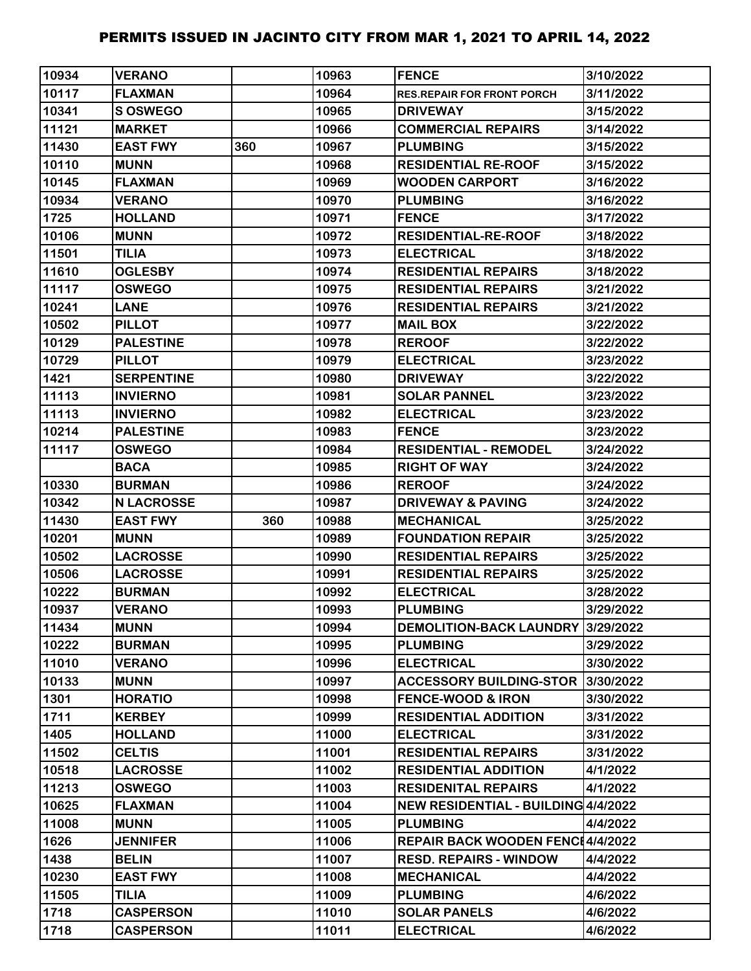| 10934 | <b>VERANO</b>     |     | 10963 | <b>FENCE</b>                             | 3/10/2022 |
|-------|-------------------|-----|-------|------------------------------------------|-----------|
| 10117 | <b>FLAXMAN</b>    |     | 10964 | <b>RES.REPAIR FOR FRONT PORCH</b>        | 3/11/2022 |
| 10341 | S OSWEGO          |     | 10965 | <b>DRIVEWAY</b>                          | 3/15/2022 |
| 11121 | <b>MARKET</b>     |     | 10966 | <b>COMMERCIAL REPAIRS</b>                | 3/14/2022 |
| 11430 | <b>EAST FWY</b>   | 360 | 10967 | <b>PLUMBING</b>                          | 3/15/2022 |
| 10110 | <b>MUNN</b>       |     | 10968 | <b>RESIDENTIAL RE-ROOF</b>               | 3/15/2022 |
| 10145 | <b>FLAXMAN</b>    |     | 10969 | <b>WOODEN CARPORT</b>                    | 3/16/2022 |
| 10934 | <b>VERANO</b>     |     | 10970 | <b>PLUMBING</b>                          | 3/16/2022 |
| 1725  | <b>HOLLAND</b>    |     | 10971 | <b>FENCE</b>                             | 3/17/2022 |
| 10106 | <b>MUNN</b>       |     | 10972 | <b>RESIDENTIAL-RE-ROOF</b>               | 3/18/2022 |
| 11501 | <b>TILIA</b>      |     | 10973 | <b>ELECTRICAL</b>                        | 3/18/2022 |
| 11610 | <b>OGLESBY</b>    |     | 10974 | <b>RESIDENTIAL REPAIRS</b>               | 3/18/2022 |
| 11117 | <b>OSWEGO</b>     |     | 10975 | <b>RESIDENTIAL REPAIRS</b>               | 3/21/2022 |
| 10241 | <b>LANE</b>       |     | 10976 | <b>RESIDENTIAL REPAIRS</b>               | 3/21/2022 |
| 10502 | <b>PILLOT</b>     |     | 10977 | <b>MAIL BOX</b>                          | 3/22/2022 |
| 10129 | <b>PALESTINE</b>  |     | 10978 | <b>REROOF</b>                            | 3/22/2022 |
| 10729 | <b>PILLOT</b>     |     | 10979 | <b>ELECTRICAL</b>                        | 3/23/2022 |
| 1421  | <b>SERPENTINE</b> |     | 10980 | <b>DRIVEWAY</b>                          | 3/22/2022 |
| 11113 | <b>INVIERNO</b>   |     | 10981 | <b>SOLAR PANNEL</b>                      | 3/23/2022 |
| 11113 | <b>INVIERNO</b>   |     | 10982 | <b>ELECTRICAL</b>                        | 3/23/2022 |
| 10214 | <b>PALESTINE</b>  |     | 10983 | <b>FENCE</b>                             | 3/23/2022 |
| 11117 | <b>OSWEGO</b>     |     | 10984 | <b>RESIDENTIAL - REMODEL</b>             | 3/24/2022 |
|       | <b>BACA</b>       |     | 10985 | <b>RIGHT OF WAY</b>                      | 3/24/2022 |
| 10330 | <b>BURMAN</b>     |     | 10986 | <b>REROOF</b>                            | 3/24/2022 |
| 10342 | <b>N LACROSSE</b> |     | 10987 | <b>DRIVEWAY &amp; PAVING</b>             | 3/24/2022 |
| 11430 | <b>EAST FWY</b>   | 360 | 10988 | <b>MECHANICAL</b>                        | 3/25/2022 |
| 10201 | <b>MUNN</b>       |     | 10989 | <b>FOUNDATION REPAIR</b>                 | 3/25/2022 |
| 10502 | <b>LACROSSE</b>   |     | 10990 | <b>RESIDENTIAL REPAIRS</b>               | 3/25/2022 |
| 10506 | <b>LACROSSE</b>   |     | 10991 | <b>RESIDENTIAL REPAIRS</b>               | 3/25/2022 |
| 10222 | <b>BURMAN</b>     |     | 10992 | <b>ELECTRICAL</b>                        | 3/28/2022 |
| 10937 | <b>VERANO</b>     |     | 10993 | <b>PLUMBING</b>                          | 3/29/2022 |
| 11434 | <b>MUNN</b>       |     | 10994 | <b>DEMOLITION-BACK LAUNDRY</b>           | 3/29/2022 |
| 10222 | <b>BURMAN</b>     |     | 10995 | <b>PLUMBING</b>                          | 3/29/2022 |
| 11010 | <b>VERANO</b>     |     | 10996 | <b>ELECTRICAL</b>                        | 3/30/2022 |
| 10133 | <b>MUNN</b>       |     | 10997 | <b>ACCESSORY BUILDING-STOR</b>           | 3/30/2022 |
| 1301  | <b>HORATIO</b>    |     | 10998 | <b>FENCE-WOOD &amp; IRON</b>             | 3/30/2022 |
| 1711  | <b>KERBEY</b>     |     | 10999 | <b>RESIDENTIAL ADDITION</b>              | 3/31/2022 |
| 1405  | <b>HOLLAND</b>    |     | 11000 | <b>ELECTRICAL</b>                        | 3/31/2022 |
| 11502 | <b>CELTIS</b>     |     | 11001 | <b>RESIDENTIAL REPAIRS</b>               | 3/31/2022 |
| 10518 | <b>LACROSSE</b>   |     | 11002 | <b>RESIDENTIAL ADDITION</b>              | 4/1/2022  |
| 11213 | <b>OSWEGO</b>     |     | 11003 | <b>RESIDENITAL REPAIRS</b>               | 4/1/2022  |
| 10625 | <b>FLAXMAN</b>    |     | 11004 | NEW RESIDENTIAL - BUILDING 4/4/2022      |           |
| 11008 | <b>MUNN</b>       |     | 11005 | <b>PLUMBING</b>                          | 4/4/2022  |
| 1626  | <b>JENNIFER</b>   |     | 11006 | <b>REPAIR BACK WOODEN FENC14/4/2022</b>  |           |
| 1438  | <b>BELIN</b>      |     | 11007 | <b>RESD. REPAIRS - WINDOW</b>            | 4/4/2022  |
| 10230 | <b>EAST FWY</b>   |     | 11008 | <b>MECHANICAL</b>                        | 4/4/2022  |
| 11505 | <b>TILIA</b>      |     | 11009 | <b>PLUMBING</b>                          | 4/6/2022  |
| 1718  |                   |     |       |                                          |           |
|       | <b>CASPERSON</b>  |     | 11010 |                                          | 4/6/2022  |
| 1718  | <b>CASPERSON</b>  |     | 11011 | <b>SOLAR PANELS</b><br><b>ELECTRICAL</b> | 4/6/2022  |